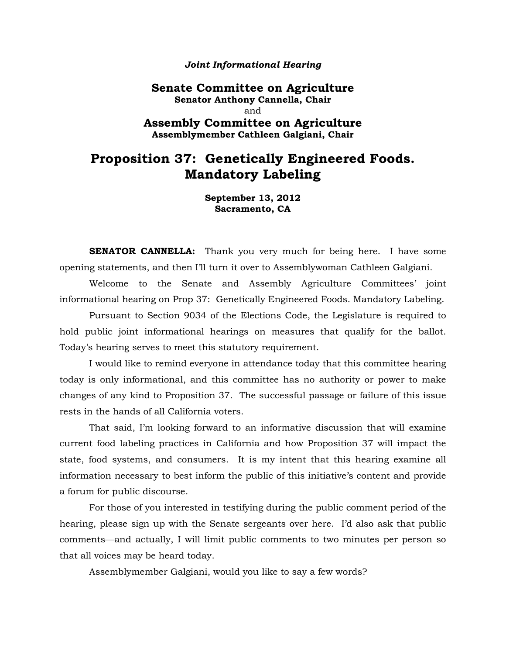#### *Joint Informational Hearing*

**Senate Committee on Agriculture Senator Anthony Cannella, Chair**  and **Assembly Committee on Agriculture**

**Assemblymember Cathleen Galgiani, Chair**

# **Proposition 37: Genetically Engineered Foods. Mandatory Labeling**

**September 13, 2012 Sacramento, CA**

**SENATOR CANNELLA:** Thank you very much for being here. I have some opening statements, and then I'll turn it over to Assemblywoman Cathleen Galgiani.

Welcome to the Senate and Assembly Agriculture Committees' joint informational hearing on Prop 37: Genetically Engineered Foods. Mandatory Labeling.

Pursuant to Section 9034 of the Elections Code, the Legislature is required to hold public joint informational hearings on measures that qualify for the ballot. Today's hearing serves to meet this statutory requirement.

I would like to remind everyone in attendance today that this committee hearing today is only informational, and this committee has no authority or power to make changes of any kind to Proposition 37. The successful passage or failure of this issue rests in the hands of all California voters.

That said, I'm looking forward to an informative discussion that will examine current food labeling practices in California and how Proposition 37 will impact the state, food systems, and consumers. It is my intent that this hearing examine all information necessary to best inform the public of this initiative's content and provide a forum for public discourse.

For those of you interested in testifying during the public comment period of the hearing, please sign up with the Senate sergeants over here. I'd also ask that public comments—and actually, I will limit public comments to two minutes per person so that all voices may be heard today.

Assemblymember Galgiani, would you like to say a few words?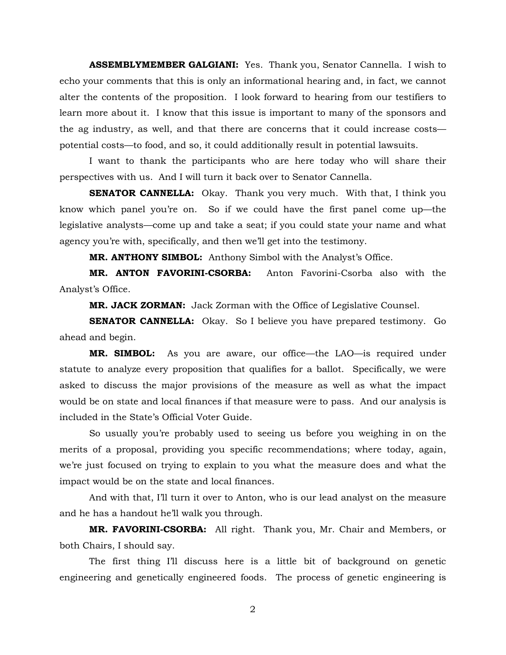**ASSEMBLYMEMBER GALGIANI:** Yes. Thank you, Senator Cannella. I wish to echo your comments that this is only an informational hearing and, in fact, we cannot alter the contents of the proposition. I look forward to hearing from our testifiers to learn more about it. I know that this issue is important to many of the sponsors and the ag industry, as well, and that there are concerns that it could increase costs potential costs—to food, and so, it could additionally result in potential lawsuits.

I want to thank the participants who are here today who will share their perspectives with us. And I will turn it back over to Senator Cannella.

**SENATOR CANNELLA:** Okay. Thank you very much. With that, I think you know which panel you're on. So if we could have the first panel come up—the legislative analysts—come up and take a seat; if you could state your name and what agency you're with, specifically, and then we'll get into the testimony.

**MR. ANTHONY SIMBOL:** Anthony Simbol with the Analyst's Office.

**MR. ANTON FAVORINI-CSORBA:** Anton Favorini-Csorba also with the Analyst's Office.

**MR. JACK ZORMAN:** Jack Zorman with the Office of Legislative Counsel.

**SENATOR CANNELLA:** Okay. So I believe you have prepared testimony. Go ahead and begin.

**MR. SIMBOL:** As you are aware, our office—the LAO—is required under statute to analyze every proposition that qualifies for a ballot. Specifically, we were asked to discuss the major provisions of the measure as well as what the impact would be on state and local finances if that measure were to pass. And our analysis is included in the State's Official Voter Guide.

So usually you're probably used to seeing us before you weighing in on the merits of a proposal, providing you specific recommendations; where today, again, we're just focused on trying to explain to you what the measure does and what the impact would be on the state and local finances.

And with that, I'll turn it over to Anton, who is our lead analyst on the measure and he has a handout he'll walk you through.

**MR. FAVORINI-CSORBA:** All right. Thank you, Mr. Chair and Members, or both Chairs, I should say.

The first thing I'll discuss here is a little bit of background on genetic engineering and genetically engineered foods. The process of genetic engineering is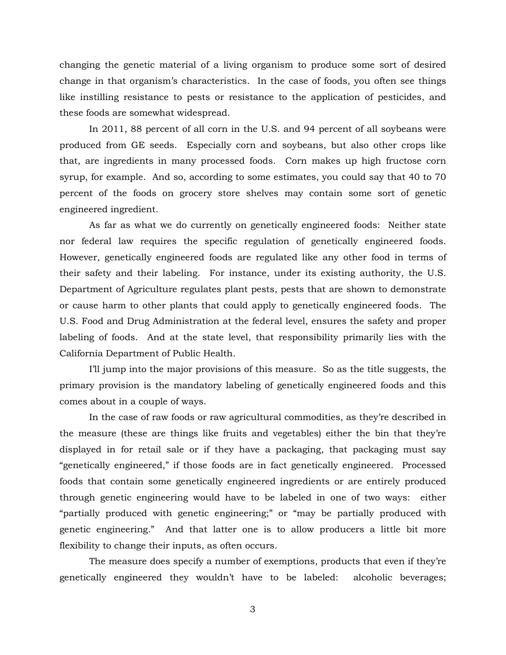changing the genetic material of a living organism to produce some sort of desired change in that organism's characteristics. In the case of foods, you often see things like instilling resistance to pests or resistance to the application of pesticides, and these foods are somewhat widespread.

In 2011, 88 percent of all corn in the U.S. and 94 percent of all soybeans were produced from GE seeds. Especially corn and soybeans, but also other crops like that, are ingredients in many processed foods. Corn makes up high fructose corn syrup, for example. And so, according to some estimates, you could say that 40 to 70 percent of the foods on grocery store shelves may contain some sort of genetic engineered ingredient.

As far as what we do currently on genetically engineered foods: Neither state nor federal law requires the specific regulation of genetically engineered foods. However, genetically engineered foods are regulated like any other food in terms of their safety and their labeling. For instance, under its existing authority, the U.S. Department of Agriculture regulates plant pests, pests that are shown to demonstrate or cause harm to other plants that could apply to genetically engineered foods. The U.S. Food and Drug Administration at the federal level, ensures the safety and proper labeling of foods. And at the state level, that responsibility primarily lies with the California Department of Public Health.

I'll jump into the major provisions of this measure. So as the title suggests, the primary provision is the mandatory labeling of genetically engineered foods and this comes about in a couple of ways.

In the case of raw foods or raw agricultural commodities, as they're described in the measure (these are things like fruits and vegetables) either the bin that they're displayed in for retail sale or if they have a packaging, that packaging must say "genetically engineered," if those foods are in fact genetically engineered. Processed foods that contain some genetically engineered ingredients or are entirely produced through genetic engineering would have to be labeled in one of two ways: either "partially produced with genetic engineering;" or "may be partially produced with genetic engineering." And that latter one is to allow producers a little bit more flexibility to change their inputs, as often occurs.

The measure does specify a number of exemptions, products that even if they're genetically engineered they wouldn't have to be labeled: alcoholic beverages;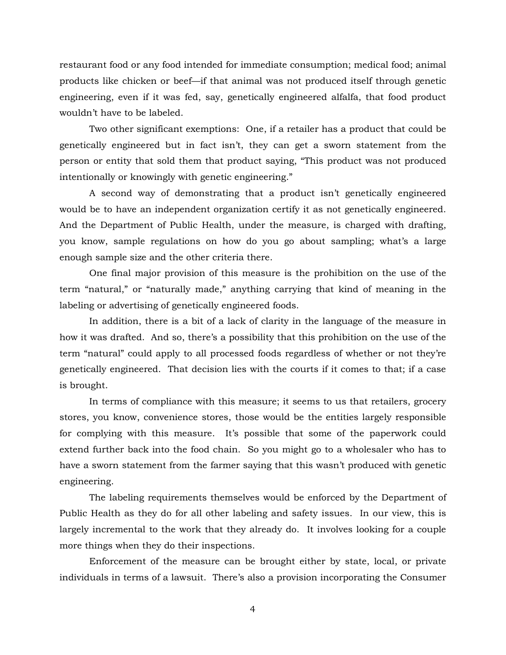restaurant food or any food intended for immediate consumption; medical food; animal products like chicken or beef—if that animal was not produced itself through genetic engineering, even if it was fed, say, genetically engineered alfalfa, that food product wouldn't have to be labeled.

Two other significant exemptions: One, if a retailer has a product that could be genetically engineered but in fact isn't, they can get a sworn statement from the person or entity that sold them that product saying, "This product was not produced intentionally or knowingly with genetic engineering."

A second way of demonstrating that a product isn't genetically engineered would be to have an independent organization certify it as not genetically engineered. And the Department of Public Health, under the measure, is charged with drafting, you know, sample regulations on how do you go about sampling; what's a large enough sample size and the other criteria there.

One final major provision of this measure is the prohibition on the use of the term "natural," or "naturally made," anything carrying that kind of meaning in the labeling or advertising of genetically engineered foods.

In addition, there is a bit of a lack of clarity in the language of the measure in how it was drafted. And so, there's a possibility that this prohibition on the use of the term "natural" could apply to all processed foods regardless of whether or not they're genetically engineered. That decision lies with the courts if it comes to that; if a case is brought.

In terms of compliance with this measure; it seems to us that retailers, grocery stores, you know, convenience stores, those would be the entities largely responsible for complying with this measure. It's possible that some of the paperwork could extend further back into the food chain. So you might go to a wholesaler who has to have a sworn statement from the farmer saying that this wasn't produced with genetic engineering.

The labeling requirements themselves would be enforced by the Department of Public Health as they do for all other labeling and safety issues. In our view, this is largely incremental to the work that they already do. It involves looking for a couple more things when they do their inspections.

Enforcement of the measure can be brought either by state, local, or private individuals in terms of a lawsuit. There's also a provision incorporating the Consumer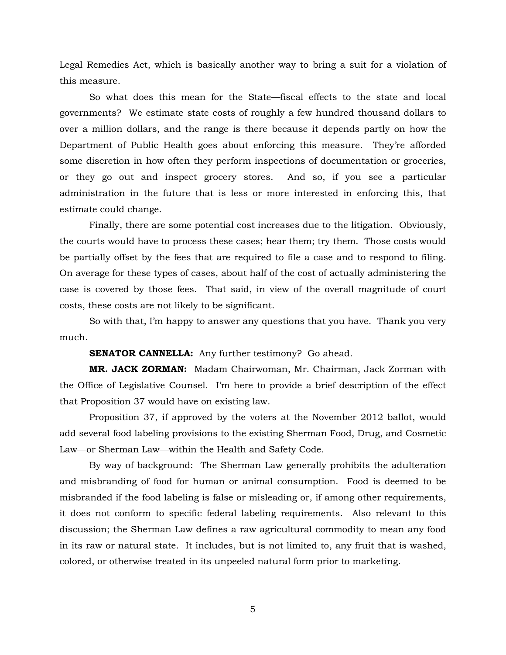Legal Remedies Act, which is basically another way to bring a suit for a violation of this measure.

So what does this mean for the State—fiscal effects to the state and local governments? We estimate state costs of roughly a few hundred thousand dollars to over a million dollars, and the range is there because it depends partly on how the Department of Public Health goes about enforcing this measure. They're afforded some discretion in how often they perform inspections of documentation or groceries, or they go out and inspect grocery stores. And so, if you see a particular administration in the future that is less or more interested in enforcing this, that estimate could change.

Finally, there are some potential cost increases due to the litigation. Obviously, the courts would have to process these cases; hear them; try them. Those costs would be partially offset by the fees that are required to file a case and to respond to filing. On average for these types of cases, about half of the cost of actually administering the case is covered by those fees. That said, in view of the overall magnitude of court costs, these costs are not likely to be significant.

So with that, I'm happy to answer any questions that you have. Thank you very much.

**SENATOR CANNELLA:** Any further testimony? Go ahead.

**MR. JACK ZORMAN:** Madam Chairwoman, Mr. Chairman, Jack Zorman with the Office of Legislative Counsel. I'm here to provide a brief description of the effect that Proposition 37 would have on existing law.

Proposition 37, if approved by the voters at the November 2012 ballot, would add several food labeling provisions to the existing Sherman Food, Drug, and Cosmetic Law—or Sherman Law—within the Health and Safety Code.

By way of background: The Sherman Law generally prohibits the adulteration and misbranding of food for human or animal consumption. Food is deemed to be misbranded if the food labeling is false or misleading or, if among other requirements, it does not conform to specific federal labeling requirements. Also relevant to this discussion; the Sherman Law defines a raw agricultural commodity to mean any food in its raw or natural state. It includes, but is not limited to, any fruit that is washed, colored, or otherwise treated in its unpeeled natural form prior to marketing.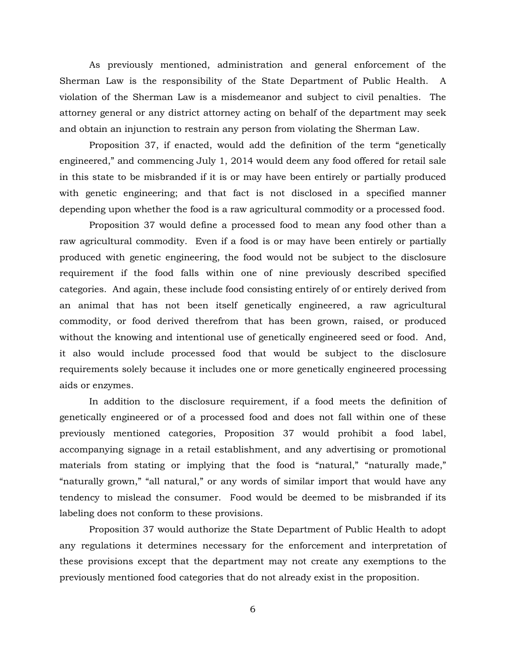As previously mentioned, administration and general enforcement of the Sherman Law is the responsibility of the State Department of Public Health. A violation of the Sherman Law is a misdemeanor and subject to civil penalties. The attorney general or any district attorney acting on behalf of the department may seek and obtain an injunction to restrain any person from violating the Sherman Law.

Proposition 37, if enacted, would add the definition of the term "genetically engineered," and commencing July 1, 2014 would deem any food offered for retail sale in this state to be misbranded if it is or may have been entirely or partially produced with genetic engineering; and that fact is not disclosed in a specified manner depending upon whether the food is a raw agricultural commodity or a processed food.

Proposition 37 would define a processed food to mean any food other than a raw agricultural commodity. Even if a food is or may have been entirely or partially produced with genetic engineering, the food would not be subject to the disclosure requirement if the food falls within one of nine previously described specified categories. And again, these include food consisting entirely of or entirely derived from an animal that has not been itself genetically engineered, a raw agricultural commodity, or food derived therefrom that has been grown, raised, or produced without the knowing and intentional use of genetically engineered seed or food. And, it also would include processed food that would be subject to the disclosure requirements solely because it includes one or more genetically engineered processing aids or enzymes.

In addition to the disclosure requirement, if a food meets the definition of genetically engineered or of a processed food and does not fall within one of these previously mentioned categories, Proposition 37 would prohibit a food label, accompanying signage in a retail establishment, and any advertising or promotional materials from stating or implying that the food is "natural," "naturally made," "naturally grown," "all natural," or any words of similar import that would have any tendency to mislead the consumer. Food would be deemed to be misbranded if its labeling does not conform to these provisions.

Proposition 37 would authorize the State Department of Public Health to adopt any regulations it determines necessary for the enforcement and interpretation of these provisions except that the department may not create any exemptions to the previously mentioned food categories that do not already exist in the proposition.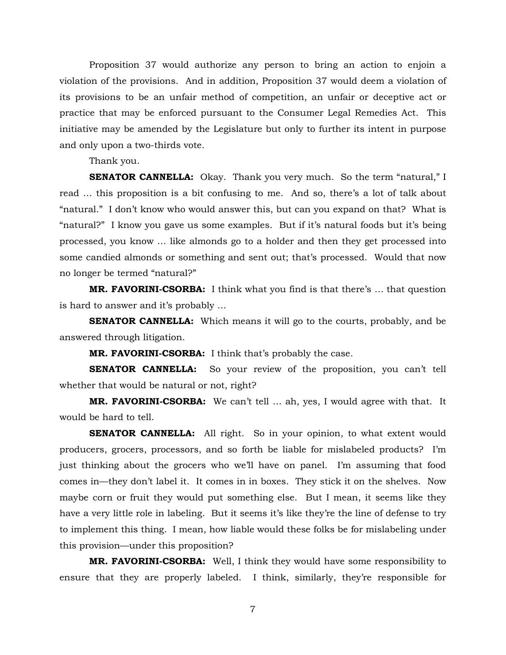Proposition 37 would authorize any person to bring an action to enjoin a violation of the provisions. And in addition, Proposition 37 would deem a violation of its provisions to be an unfair method of competition, an unfair or deceptive act or practice that may be enforced pursuant to the Consumer Legal Remedies Act. This initiative may be amended by the Legislature but only to further its intent in purpose and only upon a two-thirds vote.

Thank you.

**SENATOR CANNELLA:** Okay. Thank you very much. So the term "natural," I read … this proposition is a bit confusing to me. And so, there's a lot of talk about "natural." I don't know who would answer this, but can you expand on that? What is "natural?" I know you gave us some examples. But if it's natural foods but it's being processed, you know … like almonds go to a holder and then they get processed into some candied almonds or something and sent out; that's processed. Would that now no longer be termed "natural?"

**MR. FAVORINI-CSORBA:** I think what you find is that there's … that question is hard to answer and it's probably …

**SENATOR CANNELLA:** Which means it will go to the courts, probably, and be answered through litigation.

**MR. FAVORINI-CSORBA:** I think that's probably the case.

**SENATOR CANNELLA:** So your review of the proposition, you can't tell whether that would be natural or not, right?

**MR. FAVORINI-CSORBA:** We can't tell … ah, yes, I would agree with that. It would be hard to tell.

**SENATOR CANNELLA:** All right. So in your opinion, to what extent would producers, grocers, processors, and so forth be liable for mislabeled products? I'm just thinking about the grocers who we'll have on panel. I'm assuming that food comes in—they don't label it. It comes in in boxes. They stick it on the shelves. Now maybe corn or fruit they would put something else. But I mean, it seems like they have a very little role in labeling. But it seems it's like they're the line of defense to try to implement this thing. I mean, how liable would these folks be for mislabeling under this provision—under this proposition?

**MR. FAVORINI-CSORBA:** Well, I think they would have some responsibility to ensure that they are properly labeled. I think, similarly, they're responsible for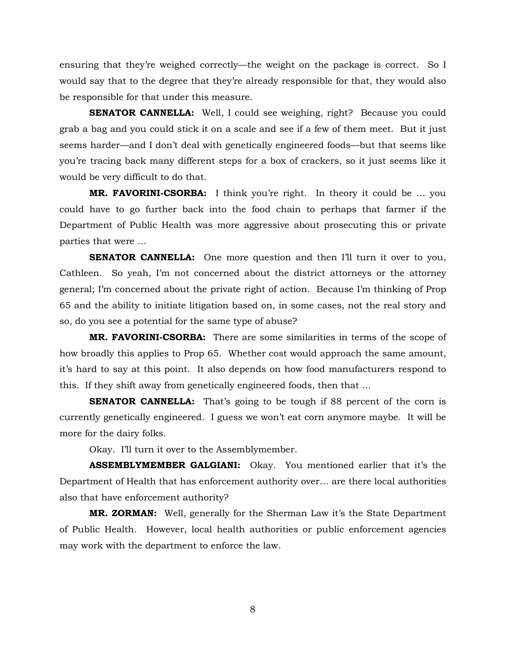ensuring that they're weighed correctly—the weight on the package is correct. So I would say that to the degree that they're already responsible for that, they would also be responsible for that under this measure.

**SENATOR CANNELLA:** Well, I could see weighing, right? Because you could grab a bag and you could stick it on a scale and see if a few of them meet. But it just seems harder—and I don't deal with genetically engineered foods—but that seems like you're tracing back many different steps for a box of crackers, so it just seems like it would be very difficult to do that.

**MR. FAVORINI-CSORBA:** I think you're right. In theory it could be ... you could have to go further back into the food chain to perhaps that farmer if the Department of Public Health was more aggressive about prosecuting this or private parties that were …

**SENATOR CANNELLA:** One more question and then I'll turn it over to you, Cathleen. So yeah, I'm not concerned about the district attorneys or the attorney general; I'm concerned about the private right of action. Because I'm thinking of Prop 65 and the ability to initiate litigation based on, in some cases, not the real story and so, do you see a potential for the same type of abuse?

**MR. FAVORINI-CSORBA:** There are some similarities in terms of the scope of how broadly this applies to Prop 65. Whether cost would approach the same amount, it's hard to say at this point. It also depends on how food manufacturers respond to this. If they shift away from genetically engineered foods, then that …

**SENATOR CANNELLA:** That's going to be tough if 88 percent of the corn is currently genetically engineered. I guess we won't eat corn anymore maybe. It will be more for the dairy folks.

Okay. I'll turn it over to the Assemblymember.

**ASSEMBLYMEMBER GALGIANI:** Okay. You mentioned earlier that it's the Department of Health that has enforcement authority over… are there local authorities also that have enforcement authority?

**MR. ZORMAN:** Well, generally for the Sherman Law it's the State Department of Public Health. However, local health authorities or public enforcement agencies may work with the department to enforce the law.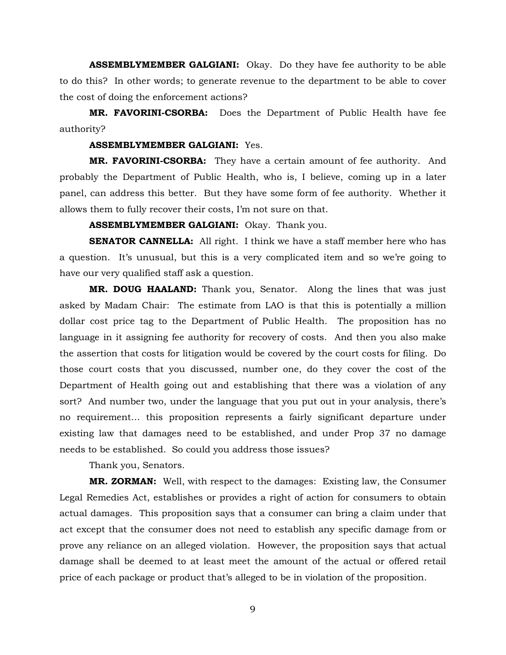**ASSEMBLYMEMBER GALGIANI:** Okay. Do they have fee authority to be able to do this? In other words; to generate revenue to the department to be able to cover the cost of doing the enforcement actions?

**MR. FAVORINI-CSORBA:** Does the Department of Public Health have fee authority?

# **ASSEMBLYMEMBER GALGIANI:** Yes.

**MR. FAVORINI-CSORBA:** They have a certain amount of fee authority. And probably the Department of Public Health, who is, I believe, coming up in a later panel, can address this better. But they have some form of fee authority. Whether it allows them to fully recover their costs, I'm not sure on that.

**ASSEMBLYMEMBER GALGIANI:** Okay. Thank you.

**SENATOR CANNELLA:** All right. I think we have a staff member here who has a question. It's unusual, but this is a very complicated item and so we're going to have our very qualified staff ask a question.

**MR. DOUG HAALAND:** Thank you, Senator. Along the lines that was just asked by Madam Chair: The estimate from LAO is that this is potentially a million dollar cost price tag to the Department of Public Health. The proposition has no language in it assigning fee authority for recovery of costs. And then you also make the assertion that costs for litigation would be covered by the court costs for filing. Do those court costs that you discussed, number one, do they cover the cost of the Department of Health going out and establishing that there was a violation of any sort? And number two, under the language that you put out in your analysis, there's no requirement… this proposition represents a fairly significant departure under existing law that damages need to be established, and under Prop 37 no damage needs to be established. So could you address those issues?

Thank you, Senators.

**MR. ZORMAN:** Well, with respect to the damages: Existing law, the Consumer Legal Remedies Act, establishes or provides a right of action for consumers to obtain actual damages. This proposition says that a consumer can bring a claim under that act except that the consumer does not need to establish any specific damage from or prove any reliance on an alleged violation. However, the proposition says that actual damage shall be deemed to at least meet the amount of the actual or offered retail price of each package or product that's alleged to be in violation of the proposition.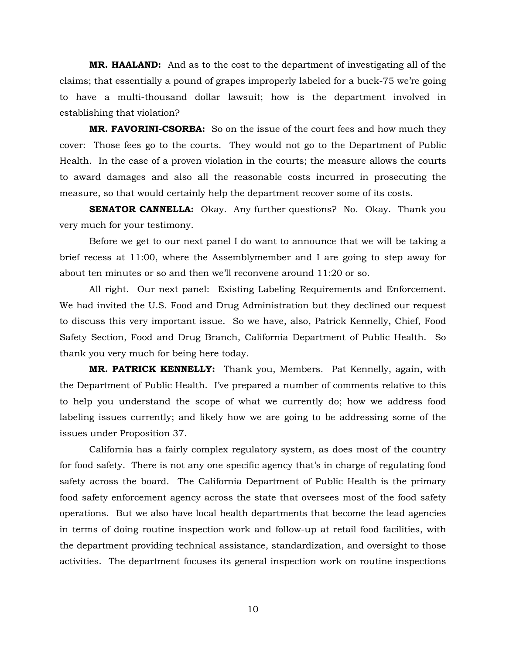**MR. HAALAND:** And as to the cost to the department of investigating all of the claims; that essentially a pound of grapes improperly labeled for a buck-75 we're going to have a multi-thousand dollar lawsuit; how is the department involved in establishing that violation?

**MR. FAVORINI-CSORBA:** So on the issue of the court fees and how much they cover: Those fees go to the courts. They would not go to the Department of Public Health. In the case of a proven violation in the courts; the measure allows the courts to award damages and also all the reasonable costs incurred in prosecuting the measure, so that would certainly help the department recover some of its costs.

**SENATOR CANNELLA:** Okay. Any further questions? No. Okay. Thank you very much for your testimony.

Before we get to our next panel I do want to announce that we will be taking a brief recess at 11:00, where the Assemblymember and I are going to step away for about ten minutes or so and then we'll reconvene around 11:20 or so.

All right. Our next panel: Existing Labeling Requirements and Enforcement. We had invited the U.S. Food and Drug Administration but they declined our request to discuss this very important issue. So we have, also, Patrick Kennelly, Chief, Food Safety Section, Food and Drug Branch, California Department of Public Health. So thank you very much for being here today.

**MR. PATRICK KENNELLY:** Thank you, Members. Pat Kennelly, again, with the Department of Public Health. I've prepared a number of comments relative to this to help you understand the scope of what we currently do; how we address food labeling issues currently; and likely how we are going to be addressing some of the issues under Proposition 37.

California has a fairly complex regulatory system, as does most of the country for food safety. There is not any one specific agency that's in charge of regulating food safety across the board. The California Department of Public Health is the primary food safety enforcement agency across the state that oversees most of the food safety operations. But we also have local health departments that become the lead agencies in terms of doing routine inspection work and follow-up at retail food facilities, with the department providing technical assistance, standardization, and oversight to those activities. The department focuses its general inspection work on routine inspections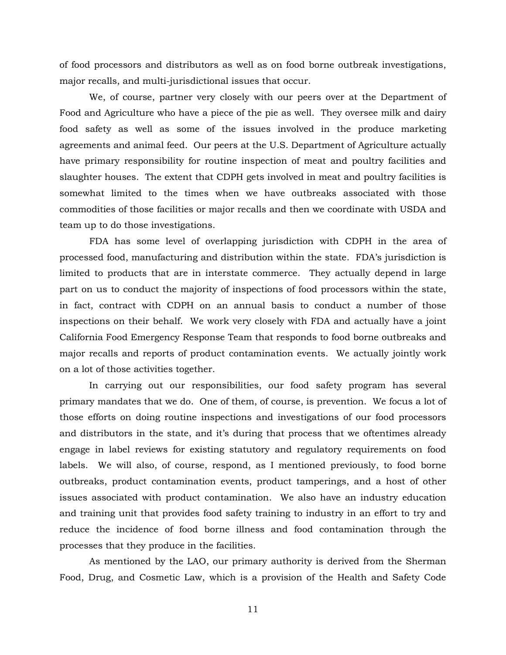of food processors and distributors as well as on food borne outbreak investigations, major recalls, and multi-jurisdictional issues that occur.

We, of course, partner very closely with our peers over at the Department of Food and Agriculture who have a piece of the pie as well. They oversee milk and dairy food safety as well as some of the issues involved in the produce marketing agreements and animal feed. Our peers at the U.S. Department of Agriculture actually have primary responsibility for routine inspection of meat and poultry facilities and slaughter houses. The extent that CDPH gets involved in meat and poultry facilities is somewhat limited to the times when we have outbreaks associated with those commodities of those facilities or major recalls and then we coordinate with USDA and team up to do those investigations.

FDA has some level of overlapping jurisdiction with CDPH in the area of processed food, manufacturing and distribution within the state. FDA's jurisdiction is limited to products that are in interstate commerce. They actually depend in large part on us to conduct the majority of inspections of food processors within the state, in fact, contract with CDPH on an annual basis to conduct a number of those inspections on their behalf. We work very closely with FDA and actually have a joint California Food Emergency Response Team that responds to food borne outbreaks and major recalls and reports of product contamination events. We actually jointly work on a lot of those activities together.

In carrying out our responsibilities, our food safety program has several primary mandates that we do. One of them, of course, is prevention. We focus a lot of those efforts on doing routine inspections and investigations of our food processors and distributors in the state, and it's during that process that we oftentimes already engage in label reviews for existing statutory and regulatory requirements on food labels. We will also, of course, respond, as I mentioned previously, to food borne outbreaks, product contamination events, product tamperings, and a host of other issues associated with product contamination. We also have an industry education and training unit that provides food safety training to industry in an effort to try and reduce the incidence of food borne illness and food contamination through the processes that they produce in the facilities.

As mentioned by the LAO, our primary authority is derived from the Sherman Food, Drug, and Cosmetic Law, which is a provision of the Health and Safety Code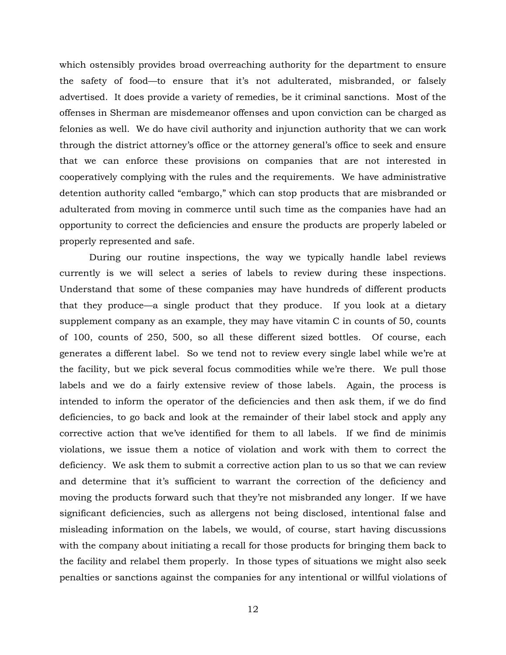which ostensibly provides broad overreaching authority for the department to ensure the safety of food—to ensure that it's not adulterated, misbranded, or falsely advertised. It does provide a variety of remedies, be it criminal sanctions. Most of the offenses in Sherman are misdemeanor offenses and upon conviction can be charged as felonies as well. We do have civil authority and injunction authority that we can work through the district attorney's office or the attorney general's office to seek and ensure that we can enforce these provisions on companies that are not interested in cooperatively complying with the rules and the requirements. We have administrative detention authority called "embargo," which can stop products that are misbranded or adulterated from moving in commerce until such time as the companies have had an opportunity to correct the deficiencies and ensure the products are properly labeled or properly represented and safe.

During our routine inspections, the way we typically handle label reviews currently is we will select a series of labels to review during these inspections. Understand that some of these companies may have hundreds of different products that they produce—a single product that they produce. If you look at a dietary supplement company as an example, they may have vitamin C in counts of 50, counts of 100, counts of 250, 500, so all these different sized bottles. Of course, each generates a different label. So we tend not to review every single label while we're at the facility, but we pick several focus commodities while we're there. We pull those labels and we do a fairly extensive review of those labels. Again, the process is intended to inform the operator of the deficiencies and then ask them, if we do find deficiencies, to go back and look at the remainder of their label stock and apply any corrective action that we've identified for them to all labels. If we find de minimis violations, we issue them a notice of violation and work with them to correct the deficiency. We ask them to submit a corrective action plan to us so that we can review and determine that it's sufficient to warrant the correction of the deficiency and moving the products forward such that they're not misbranded any longer. If we have significant deficiencies, such as allergens not being disclosed, intentional false and misleading information on the labels, we would, of course, start having discussions with the company about initiating a recall for those products for bringing them back to the facility and relabel them properly. In those types of situations we might also seek penalties or sanctions against the companies for any intentional or willful violations of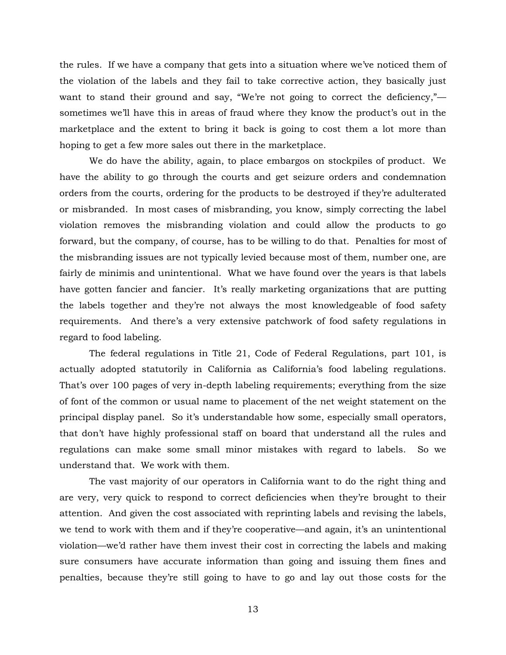the rules. If we have a company that gets into a situation where we've noticed them of the violation of the labels and they fail to take corrective action, they basically just want to stand their ground and say, "We're not going to correct the deficiency," sometimes we'll have this in areas of fraud where they know the product's out in the marketplace and the extent to bring it back is going to cost them a lot more than hoping to get a few more sales out there in the marketplace.

We do have the ability, again, to place embargos on stockpiles of product. We have the ability to go through the courts and get seizure orders and condemnation orders from the courts, ordering for the products to be destroyed if they're adulterated or misbranded. In most cases of misbranding, you know, simply correcting the label violation removes the misbranding violation and could allow the products to go forward, but the company, of course, has to be willing to do that. Penalties for most of the misbranding issues are not typically levied because most of them, number one, are fairly de minimis and unintentional. What we have found over the years is that labels have gotten fancier and fancier. It's really marketing organizations that are putting the labels together and they're not always the most knowledgeable of food safety requirements. And there's a very extensive patchwork of food safety regulations in regard to food labeling.

The federal regulations in Title 21, Code of Federal Regulations, part 101, is actually adopted statutorily in California as California's food labeling regulations. That's over 100 pages of very in-depth labeling requirements; everything from the size of font of the common or usual name to placement of the net weight statement on the principal display panel. So it's understandable how some, especially small operators, that don't have highly professional staff on board that understand all the rules and regulations can make some small minor mistakes with regard to labels. So we understand that. We work with them.

The vast majority of our operators in California want to do the right thing and are very, very quick to respond to correct deficiencies when they're brought to their attention. And given the cost associated with reprinting labels and revising the labels, we tend to work with them and if they're cooperative—and again, it's an unintentional violation—we'd rather have them invest their cost in correcting the labels and making sure consumers have accurate information than going and issuing them fines and penalties, because they're still going to have to go and lay out those costs for the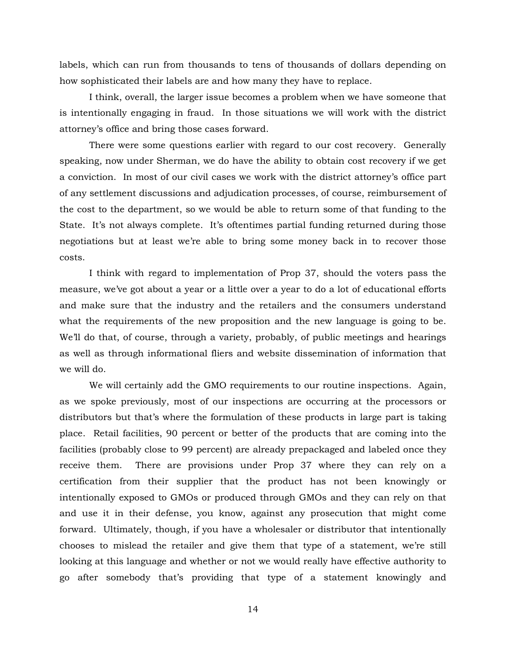labels, which can run from thousands to tens of thousands of dollars depending on how sophisticated their labels are and how many they have to replace.

I think, overall, the larger issue becomes a problem when we have someone that is intentionally engaging in fraud. In those situations we will work with the district attorney's office and bring those cases forward.

There were some questions earlier with regard to our cost recovery. Generally speaking, now under Sherman, we do have the ability to obtain cost recovery if we get a conviction. In most of our civil cases we work with the district attorney's office part of any settlement discussions and adjudication processes, of course, reimbursement of the cost to the department, so we would be able to return some of that funding to the State. It's not always complete. It's oftentimes partial funding returned during those negotiations but at least we're able to bring some money back in to recover those costs.

I think with regard to implementation of Prop 37, should the voters pass the measure, we've got about a year or a little over a year to do a lot of educational efforts and make sure that the industry and the retailers and the consumers understand what the requirements of the new proposition and the new language is going to be. We'll do that, of course, through a variety, probably, of public meetings and hearings as well as through informational fliers and website dissemination of information that we will do.

We will certainly add the GMO requirements to our routine inspections. Again, as we spoke previously, most of our inspections are occurring at the processors or distributors but that's where the formulation of these products in large part is taking place. Retail facilities, 90 percent or better of the products that are coming into the facilities (probably close to 99 percent) are already prepackaged and labeled once they receive them. There are provisions under Prop 37 where they can rely on a certification from their supplier that the product has not been knowingly or intentionally exposed to GMOs or produced through GMOs and they can rely on that and use it in their defense, you know, against any prosecution that might come forward. Ultimately, though, if you have a wholesaler or distributor that intentionally chooses to mislead the retailer and give them that type of a statement, we're still looking at this language and whether or not we would really have effective authority to go after somebody that's providing that type of a statement knowingly and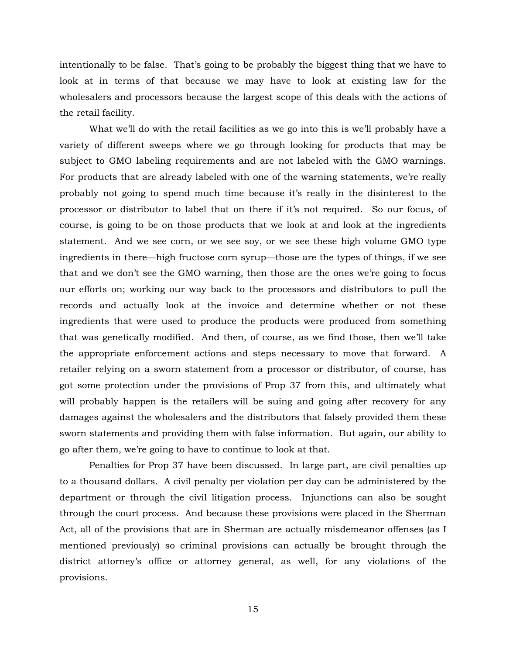intentionally to be false. That's going to be probably the biggest thing that we have to look at in terms of that because we may have to look at existing law for the wholesalers and processors because the largest scope of this deals with the actions of the retail facility.

What we'll do with the retail facilities as we go into this is we'll probably have a variety of different sweeps where we go through looking for products that may be subject to GMO labeling requirements and are not labeled with the GMO warnings. For products that are already labeled with one of the warning statements, we're really probably not going to spend much time because it's really in the disinterest to the processor or distributor to label that on there if it's not required. So our focus, of course, is going to be on those products that we look at and look at the ingredients statement. And we see corn, or we see soy, or we see these high volume GMO type ingredients in there—high fructose corn syrup—those are the types of things, if we see that and we don't see the GMO warning, then those are the ones we're going to focus our efforts on; working our way back to the processors and distributors to pull the records and actually look at the invoice and determine whether or not these ingredients that were used to produce the products were produced from something that was genetically modified. And then, of course, as we find those, then we'll take the appropriate enforcement actions and steps necessary to move that forward. A retailer relying on a sworn statement from a processor or distributor, of course, has got some protection under the provisions of Prop 37 from this, and ultimately what will probably happen is the retailers will be suing and going after recovery for any damages against the wholesalers and the distributors that falsely provided them these sworn statements and providing them with false information. But again, our ability to go after them, we're going to have to continue to look at that.

Penalties for Prop 37 have been discussed. In large part, are civil penalties up to a thousand dollars. A civil penalty per violation per day can be administered by the department or through the civil litigation process. Injunctions can also be sought through the court process. And because these provisions were placed in the Sherman Act, all of the provisions that are in Sherman are actually misdemeanor offenses (as I mentioned previously) so criminal provisions can actually be brought through the district attorney's office or attorney general, as well, for any violations of the provisions.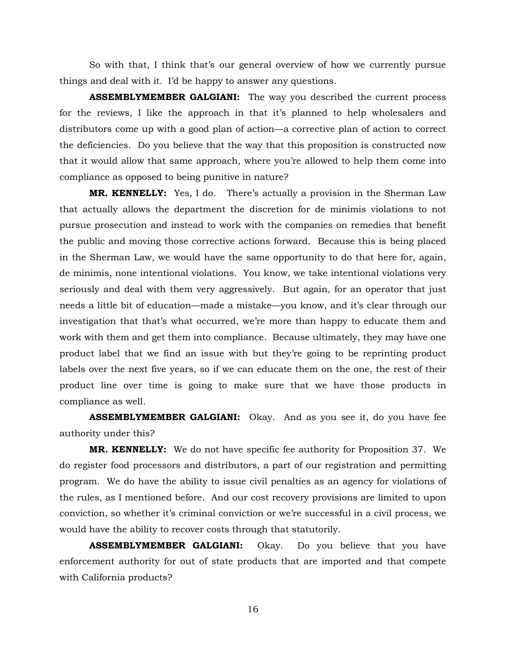So with that, I think that's our general overview of how we currently pursue things and deal with it. I'd be happy to answer any questions.

**ASSEMBLYMEMBER GALGIANI:** The way you described the current process for the reviews, I like the approach in that it's planned to help wholesalers and distributors come up with a good plan of action—a corrective plan of action to correct the deficiencies. Do you believe that the way that this proposition is constructed now that it would allow that same approach, where you're allowed to help them come into compliance as opposed to being punitive in nature?

**MR. KENNELLY:** Yes, I do. There's actually a provision in the Sherman Law that actually allows the department the discretion for de minimis violations to not pursue prosecution and instead to work with the companies on remedies that benefit the public and moving those corrective actions forward. Because this is being placed in the Sherman Law, we would have the same opportunity to do that here for, again, de minimis, none intentional violations. You know, we take intentional violations very seriously and deal with them very aggressively. But again, for an operator that just needs a little bit of education—made a mistake—you know, and it's clear through our investigation that that's what occurred, we're more than happy to educate them and work with them and get them into compliance. Because ultimately, they may have one product label that we find an issue with but they're going to be reprinting product labels over the next five years, so if we can educate them on the one, the rest of their product line over time is going to make sure that we have those products in compliance as well.

**ASSEMBLYMEMBER GALGIANI:** Okay. And as you see it, do you have fee authority under this?

**MR. KENNELLY:** We do not have specific fee authority for Proposition 37. We do register food processors and distributors, a part of our registration and permitting program. We do have the ability to issue civil penalties as an agency for violations of the rules, as I mentioned before. And our cost recovery provisions are limited to upon conviction, so whether it's criminal conviction or we're successful in a civil process, we would have the ability to recover costs through that statutorily.

**ASSEMBLYMEMBER GALGIANI:** Okay. Do you believe that you have enforcement authority for out of state products that are imported and that compete with California products?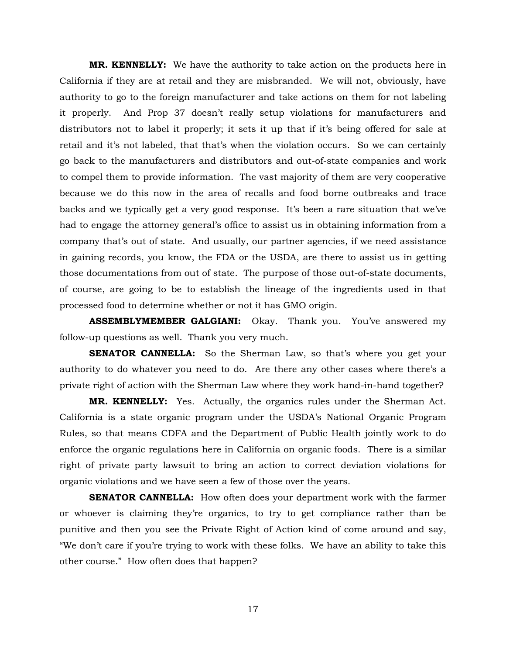**MR. KENNELLY:** We have the authority to take action on the products here in California if they are at retail and they are misbranded. We will not, obviously, have authority to go to the foreign manufacturer and take actions on them for not labeling it properly. And Prop 37 doesn't really setup violations for manufacturers and distributors not to label it properly; it sets it up that if it's being offered for sale at retail and it's not labeled, that that's when the violation occurs. So we can certainly go back to the manufacturers and distributors and out-of-state companies and work to compel them to provide information. The vast majority of them are very cooperative because we do this now in the area of recalls and food borne outbreaks and trace backs and we typically get a very good response. It's been a rare situation that we've had to engage the attorney general's office to assist us in obtaining information from a company that's out of state. And usually, our partner agencies, if we need assistance in gaining records, you know, the FDA or the USDA, are there to assist us in getting those documentations from out of state. The purpose of those out-of-state documents, of course, are going to be to establish the lineage of the ingredients used in that processed food to determine whether or not it has GMO origin.

**ASSEMBLYMEMBER GALGIANI:** Okay. Thank you. You've answered my follow-up questions as well. Thank you very much.

**SENATOR CANNELLA:** So the Sherman Law, so that's where you get your authority to do whatever you need to do. Are there any other cases where there's a private right of action with the Sherman Law where they work hand-in-hand together?

**MR. KENNELLY:** Yes. Actually, the organics rules under the Sherman Act. California is a state organic program under the USDA's National Organic Program Rules, so that means CDFA and the Department of Public Health jointly work to do enforce the organic regulations here in California on organic foods. There is a similar right of private party lawsuit to bring an action to correct deviation violations for organic violations and we have seen a few of those over the years.

**SENATOR CANNELLA:** How often does your department work with the farmer or whoever is claiming they're organics, to try to get compliance rather than be punitive and then you see the Private Right of Action kind of come around and say, "We don't care if you're trying to work with these folks. We have an ability to take this other course." How often does that happen?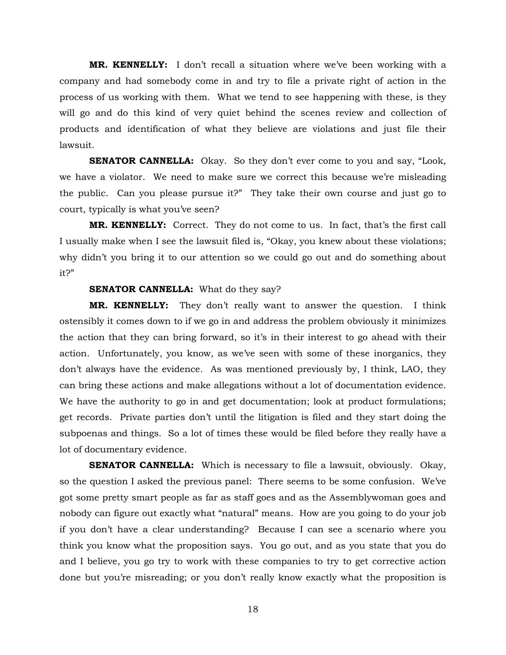**MR. KENNELLY:** I don't recall a situation where we've been working with a company and had somebody come in and try to file a private right of action in the process of us working with them. What we tend to see happening with these, is they will go and do this kind of very quiet behind the scenes review and collection of products and identification of what they believe are violations and just file their lawsuit.

**SENATOR CANNELLA:** Okay. So they don't ever come to you and say, "Look, we have a violator. We need to make sure we correct this because we're misleading the public. Can you please pursue it?" They take their own course and just go to court, typically is what you've seen?

**MR. KENNELLY:** Correct. They do not come to us. In fact, that's the first call I usually make when I see the lawsuit filed is, "Okay, you knew about these violations; why didn't you bring it to our attention so we could go out and do something about it?"

## **SENATOR CANNELLA:** What do they say?

**MR. KENNELLY:** They don't really want to answer the question. I think ostensibly it comes down to if we go in and address the problem obviously it minimizes the action that they can bring forward, so it's in their interest to go ahead with their action. Unfortunately, you know, as we've seen with some of these inorganics, they don't always have the evidence. As was mentioned previously by, I think, LAO, they can bring these actions and make allegations without a lot of documentation evidence. We have the authority to go in and get documentation; look at product formulations; get records. Private parties don't until the litigation is filed and they start doing the subpoenas and things. So a lot of times these would be filed before they really have a lot of documentary evidence.

**SENATOR CANNELLA:** Which is necessary to file a lawsuit, obviously. Okay, so the question I asked the previous panel: There seems to be some confusion. We've got some pretty smart people as far as staff goes and as the Assemblywoman goes and nobody can figure out exactly what "natural" means. How are you going to do your job if you don't have a clear understanding? Because I can see a scenario where you think you know what the proposition says. You go out, and as you state that you do and I believe, you go try to work with these companies to try to get corrective action done but you're misreading; or you don't really know exactly what the proposition is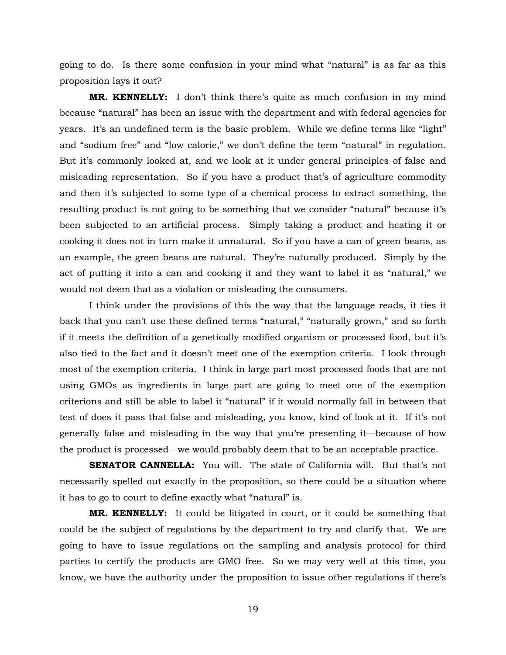going to do. Is there some confusion in your mind what "natural" is as far as this proposition lays it out?

**MR. KENNELLY:** I don't think there's quite as much confusion in my mind because "natural" has been an issue with the department and with federal agencies for years. It's an undefined term is the basic problem. While we define terms like "light" and "sodium free" and "low calorie," we don't define the term "natural" in regulation. But it's commonly looked at, and we look at it under general principles of false and misleading representation. So if you have a product that's of agriculture commodity and then it's subjected to some type of a chemical process to extract something, the resulting product is not going to be something that we consider "natural" because it's been subjected to an artificial process. Simply taking a product and heating it or cooking it does not in turn make it unnatural. So if you have a can of green beans, as an example, the green beans are natural. They're naturally produced. Simply by the act of putting it into a can and cooking it and they want to label it as "natural," we would not deem that as a violation or misleading the consumers.

I think under the provisions of this the way that the language reads, it ties it back that you can't use these defined terms "natural," "naturally grown," and so forth if it meets the definition of a genetically modified organism or processed food, but it's also tied to the fact and it doesn't meet one of the exemption criteria. I look through most of the exemption criteria. I think in large part most processed foods that are not using GMOs as ingredients in large part are going to meet one of the exemption criterions and still be able to label it "natural" if it would normally fall in between that test of does it pass that false and misleading, you know, kind of look at it. If it's not generally false and misleading in the way that you're presenting it—because of how the product is processed—we would probably deem that to be an acceptable practice.

**SENATOR CANNELLA:** You will. The state of California will. But that's not necessarily spelled out exactly in the proposition, so there could be a situation where it has to go to court to define exactly what "natural" is.

**MR. KENNELLY:** It could be litigated in court, or it could be something that could be the subject of regulations by the department to try and clarify that. We are going to have to issue regulations on the sampling and analysis protocol for third parties to certify the products are GMO free. So we may very well at this time, you know, we have the authority under the proposition to issue other regulations if there's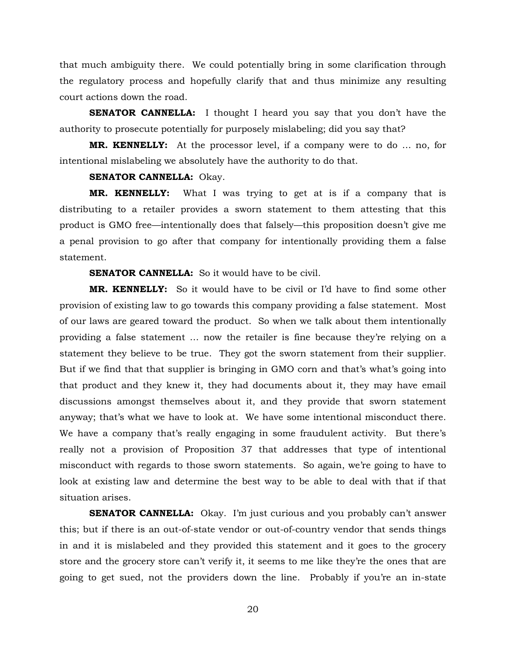that much ambiguity there. We could potentially bring in some clarification through the regulatory process and hopefully clarify that and thus minimize any resulting court actions down the road.

**SENATOR CANNELLA:** I thought I heard you say that you don't have the authority to prosecute potentially for purposely mislabeling; did you say that?

**MR. KENNELLY:** At the processor level, if a company were to do … no, for intentional mislabeling we absolutely have the authority to do that.

# **SENATOR CANNELLA:** Okay.

**MR. KENNELLY:** What I was trying to get at is if a company that is distributing to a retailer provides a sworn statement to them attesting that this product is GMO free—intentionally does that falsely—this proposition doesn't give me a penal provision to go after that company for intentionally providing them a false statement.

## **SENATOR CANNELLA:** So it would have to be civil.

**MR. KENNELLY:** So it would have to be civil or I'd have to find some other provision of existing law to go towards this company providing a false statement. Most of our laws are geared toward the product. So when we talk about them intentionally providing a false statement … now the retailer is fine because they're relying on a statement they believe to be true. They got the sworn statement from their supplier. But if we find that that supplier is bringing in GMO corn and that's what's going into that product and they knew it, they had documents about it, they may have email discussions amongst themselves about it, and they provide that sworn statement anyway; that's what we have to look at. We have some intentional misconduct there. We have a company that's really engaging in some fraudulent activity. But there's really not a provision of Proposition 37 that addresses that type of intentional misconduct with regards to those sworn statements. So again, we're going to have to look at existing law and determine the best way to be able to deal with that if that situation arises.

**SENATOR CANNELLA:** Okay. I'm just curious and you probably can't answer this; but if there is an out-of-state vendor or out-of-country vendor that sends things in and it is mislabeled and they provided this statement and it goes to the grocery store and the grocery store can't verify it, it seems to me like they're the ones that are going to get sued, not the providers down the line. Probably if you're an in-state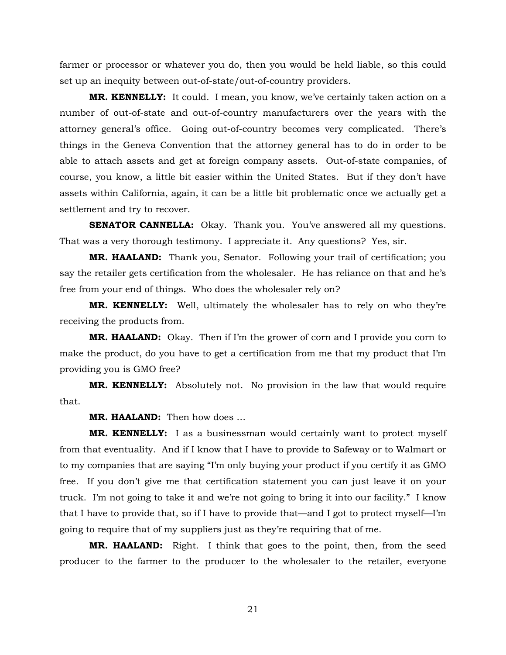farmer or processor or whatever you do, then you would be held liable, so this could set up an inequity between out-of-state/out-of-country providers.

**MR. KENNELLY:** It could. I mean, you know, we've certainly taken action on a number of out-of-state and out-of-country manufacturers over the years with the attorney general's office. Going out-of-country becomes very complicated. There's things in the Geneva Convention that the attorney general has to do in order to be able to attach assets and get at foreign company assets. Out-of-state companies, of course, you know, a little bit easier within the United States. But if they don't have assets within California, again, it can be a little bit problematic once we actually get a settlement and try to recover.

**SENATOR CANNELLA:** Okay. Thank you. You've answered all my questions. That was a very thorough testimony. I appreciate it. Any questions? Yes, sir.

**MR. HAALAND:** Thank you, Senator. Following your trail of certification; you say the retailer gets certification from the wholesaler. He has reliance on that and he's free from your end of things. Who does the wholesaler rely on?

**MR. KENNELLY:** Well, ultimately the wholesaler has to rely on who they're receiving the products from.

**MR. HAALAND:** Okay. Then if I'm the grower of corn and I provide you corn to make the product, do you have to get a certification from me that my product that I'm providing you is GMO free?

**MR. KENNELLY:** Absolutely not. No provision in the law that would require that.

**MR. HAALAND:** Then how does …

**MR. KENNELLY:** I as a businessman would certainly want to protect myself from that eventuality. And if I know that I have to provide to Safeway or to Walmart or to my companies that are saying "I'm only buying your product if you certify it as GMO free. If you don't give me that certification statement you can just leave it on your truck. I'm not going to take it and we're not going to bring it into our facility." I know that I have to provide that, so if I have to provide that—and I got to protect myself—I'm going to require that of my suppliers just as they're requiring that of me.

**MR. HAALAND:** Right. I think that goes to the point, then, from the seed producer to the farmer to the producer to the wholesaler to the retailer, everyone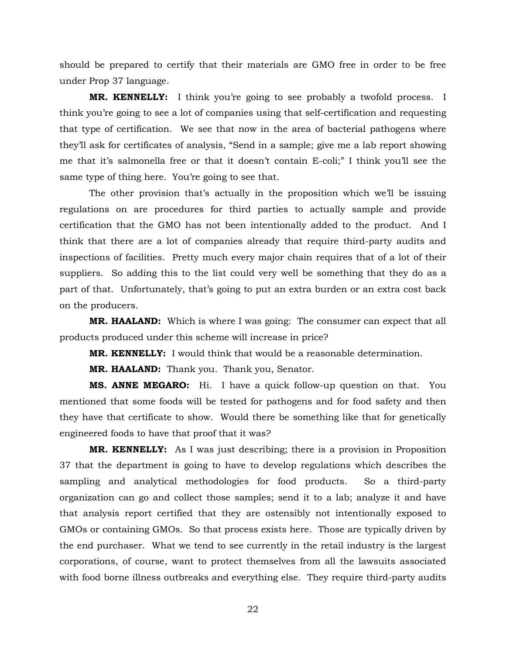should be prepared to certify that their materials are GMO free in order to be free under Prop 37 language.

**MR. KENNELLY:** I think you're going to see probably a twofold process. I think you're going to see a lot of companies using that self-certification and requesting that type of certification. We see that now in the area of bacterial pathogens where they'll ask for certificates of analysis, "Send in a sample; give me a lab report showing me that it's salmonella free or that it doesn't contain E-coli;" I think you'll see the same type of thing here. You're going to see that.

The other provision that's actually in the proposition which we'll be issuing regulations on are procedures for third parties to actually sample and provide certification that the GMO has not been intentionally added to the product. And I think that there are a lot of companies already that require third-party audits and inspections of facilities. Pretty much every major chain requires that of a lot of their suppliers. So adding this to the list could very well be something that they do as a part of that. Unfortunately, that's going to put an extra burden or an extra cost back on the producers.

**MR. HAALAND:** Which is where I was going: The consumer can expect that all products produced under this scheme will increase in price?

**MR. KENNELLY:** I would think that would be a reasonable determination.

**MR. HAALAND:** Thank you. Thank you, Senator.

**MS. ANNE MEGARO:** Hi. I have a quick follow-up question on that. You mentioned that some foods will be tested for pathogens and for food safety and then they have that certificate to show. Would there be something like that for genetically engineered foods to have that proof that it was?

**MR. KENNELLY:** As I was just describing; there is a provision in Proposition 37 that the department is going to have to develop regulations which describes the sampling and analytical methodologies for food products. So a third-party organization can go and collect those samples; send it to a lab; analyze it and have that analysis report certified that they are ostensibly not intentionally exposed to GMOs or containing GMOs. So that process exists here. Those are typically driven by the end purchaser. What we tend to see currently in the retail industry is the largest corporations, of course, want to protect themselves from all the lawsuits associated with food borne illness outbreaks and everything else. They require third-party audits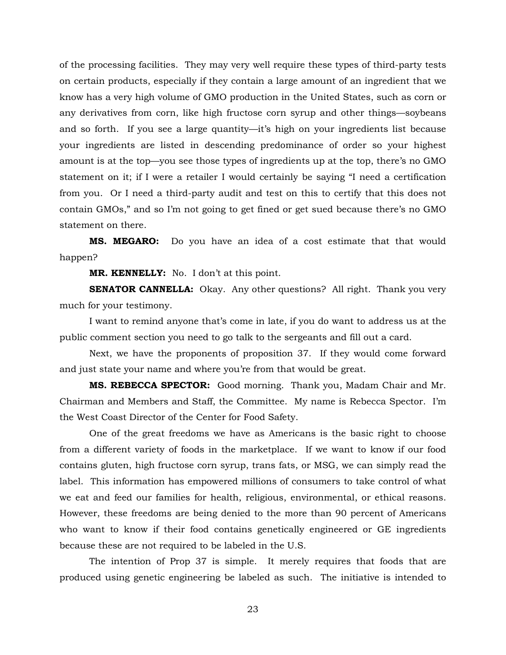of the processing facilities. They may very well require these types of third-party tests on certain products, especially if they contain a large amount of an ingredient that we know has a very high volume of GMO production in the United States, such as corn or any derivatives from corn, like high fructose corn syrup and other things—soybeans and so forth. If you see a large quantity—it's high on your ingredients list because your ingredients are listed in descending predominance of order so your highest amount is at the top—you see those types of ingredients up at the top, there's no GMO statement on it; if I were a retailer I would certainly be saying "I need a certification from you. Or I need a third-party audit and test on this to certify that this does not contain GMOs," and so I'm not going to get fined or get sued because there's no GMO statement on there.

**MS. MEGARO:** Do you have an idea of a cost estimate that that would happen?

**MR. KENNELLY:** No. I don't at this point.

**SENATOR CANNELLA:** Okay. Any other questions? All right. Thank you very much for your testimony.

I want to remind anyone that's come in late, if you do want to address us at the public comment section you need to go talk to the sergeants and fill out a card.

Next, we have the proponents of proposition 37. If they would come forward and just state your name and where you're from that would be great.

**MS. REBECCA SPECTOR:** Good morning. Thank you, Madam Chair and Mr. Chairman and Members and Staff, the Committee. My name is Rebecca Spector. I'm the West Coast Director of the Center for Food Safety.

One of the great freedoms we have as Americans is the basic right to choose from a different variety of foods in the marketplace. If we want to know if our food contains gluten, high fructose corn syrup, trans fats, or MSG, we can simply read the label. This information has empowered millions of consumers to take control of what we eat and feed our families for health, religious, environmental, or ethical reasons. However, these freedoms are being denied to the more than 90 percent of Americans who want to know if their food contains genetically engineered or GE ingredients because these are not required to be labeled in the U.S.

The intention of Prop 37 is simple. It merely requires that foods that are produced using genetic engineering be labeled as such. The initiative is intended to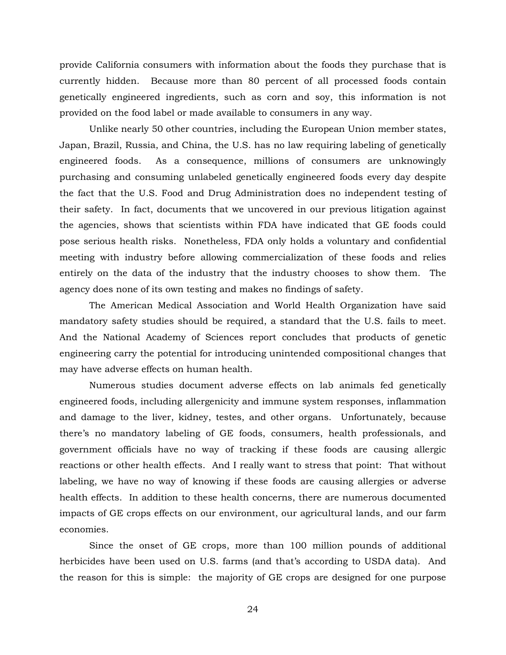provide California consumers with information about the foods they purchase that is currently hidden. Because more than 80 percent of all processed foods contain genetically engineered ingredients, such as corn and soy, this information is not provided on the food label or made available to consumers in any way.

Unlike nearly 50 other countries, including the European Union member states, Japan, Brazil, Russia, and China, the U.S. has no law requiring labeling of genetically engineered foods. As a consequence, millions of consumers are unknowingly purchasing and consuming unlabeled genetically engineered foods every day despite the fact that the U.S. Food and Drug Administration does no independent testing of their safety. In fact, documents that we uncovered in our previous litigation against the agencies, shows that scientists within FDA have indicated that GE foods could pose serious health risks. Nonetheless, FDA only holds a voluntary and confidential meeting with industry before allowing commercialization of these foods and relies entirely on the data of the industry that the industry chooses to show them. The agency does none of its own testing and makes no findings of safety.

The American Medical Association and World Health Organization have said mandatory safety studies should be required, a standard that the U.S. fails to meet. And the National Academy of Sciences report concludes that products of genetic engineering carry the potential for introducing unintended compositional changes that may have adverse effects on human health.

Numerous studies document adverse effects on lab animals fed genetically engineered foods, including allergenicity and immune system responses, inflammation and damage to the liver, kidney, testes, and other organs. Unfortunately, because there's no mandatory labeling of GE foods, consumers, health professionals, and government officials have no way of tracking if these foods are causing allergic reactions or other health effects. And I really want to stress that point: That without labeling, we have no way of knowing if these foods are causing allergies or adverse health effects. In addition to these health concerns, there are numerous documented impacts of GE crops effects on our environment, our agricultural lands, and our farm economies.

Since the onset of GE crops, more than 100 million pounds of additional herbicides have been used on U.S. farms (and that's according to USDA data). And the reason for this is simple: the majority of GE crops are designed for one purpose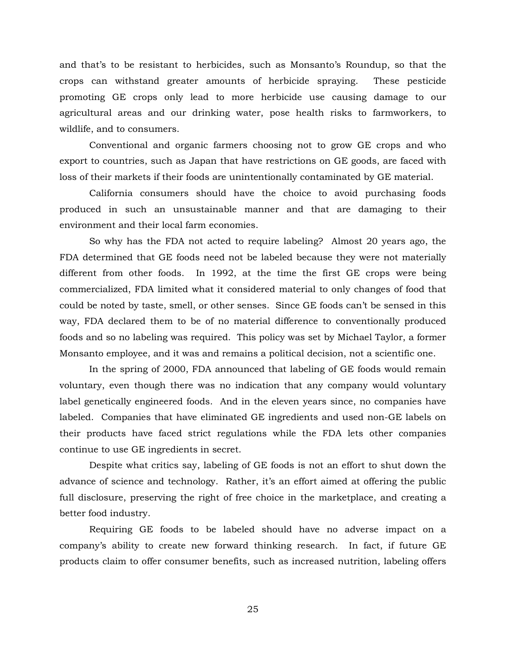and that's to be resistant to herbicides, such as Monsanto's Roundup, so that the crops can withstand greater amounts of herbicide spraying. These pesticide promoting GE crops only lead to more herbicide use causing damage to our agricultural areas and our drinking water, pose health risks to farmworkers, to wildlife, and to consumers.

Conventional and organic farmers choosing not to grow GE crops and who export to countries, such as Japan that have restrictions on GE goods, are faced with loss of their markets if their foods are unintentionally contaminated by GE material.

California consumers should have the choice to avoid purchasing foods produced in such an unsustainable manner and that are damaging to their environment and their local farm economies.

So why has the FDA not acted to require labeling? Almost 20 years ago, the FDA determined that GE foods need not be labeled because they were not materially different from other foods. In 1992, at the time the first GE crops were being commercialized, FDA limited what it considered material to only changes of food that could be noted by taste, smell, or other senses. Since GE foods can't be sensed in this way, FDA declared them to be of no material difference to conventionally produced foods and so no labeling was required. This policy was set by Michael Taylor, a former Monsanto employee, and it was and remains a political decision, not a scientific one.

In the spring of 2000, FDA announced that labeling of GE foods would remain voluntary, even though there was no indication that any company would voluntary label genetically engineered foods. And in the eleven years since, no companies have labeled. Companies that have eliminated GE ingredients and used non-GE labels on their products have faced strict regulations while the FDA lets other companies continue to use GE ingredients in secret.

Despite what critics say, labeling of GE foods is not an effort to shut down the advance of science and technology. Rather, it's an effort aimed at offering the public full disclosure, preserving the right of free choice in the marketplace, and creating a better food industry.

Requiring GE foods to be labeled should have no adverse impact on a company's ability to create new forward thinking research. In fact, if future GE products claim to offer consumer benefits, such as increased nutrition, labeling offers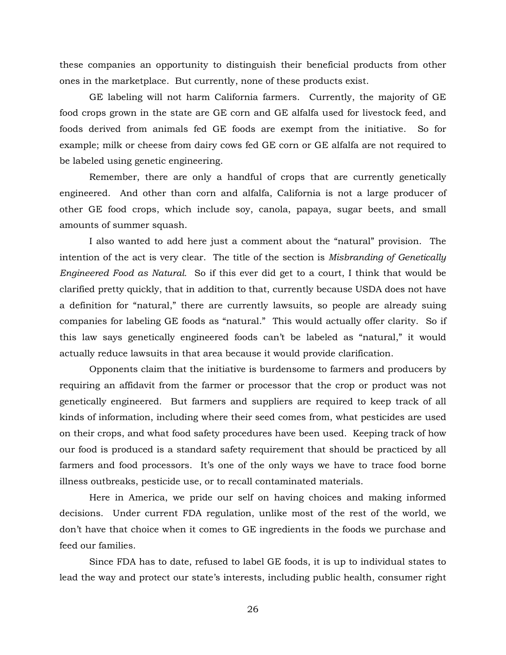these companies an opportunity to distinguish their beneficial products from other ones in the marketplace. But currently, none of these products exist.

GE labeling will not harm California farmers. Currently, the majority of GE food crops grown in the state are GE corn and GE alfalfa used for livestock feed, and foods derived from animals fed GE foods are exempt from the initiative. So for example; milk or cheese from dairy cows fed GE corn or GE alfalfa are not required to be labeled using genetic engineering.

Remember, there are only a handful of crops that are currently genetically engineered. And other than corn and alfalfa, California is not a large producer of other GE food crops, which include soy, canola, papaya, sugar beets, and small amounts of summer squash.

I also wanted to add here just a comment about the "natural" provision. The intention of the act is very clear. The title of the section is *Misbranding of Genetically Engineered Food as Natural.* So if this ever did get to a court, I think that would be clarified pretty quickly, that in addition to that, currently because USDA does not have a definition for "natural," there are currently lawsuits, so people are already suing companies for labeling GE foods as "natural." This would actually offer clarity. So if this law says genetically engineered foods can't be labeled as "natural," it would actually reduce lawsuits in that area because it would provide clarification.

Opponents claim that the initiative is burdensome to farmers and producers by requiring an affidavit from the farmer or processor that the crop or product was not genetically engineered. But farmers and suppliers are required to keep track of all kinds of information, including where their seed comes from, what pesticides are used on their crops, and what food safety procedures have been used. Keeping track of how our food is produced is a standard safety requirement that should be practiced by all farmers and food processors. It's one of the only ways we have to trace food borne illness outbreaks, pesticide use, or to recall contaminated materials.

Here in America, we pride our self on having choices and making informed decisions. Under current FDA regulation, unlike most of the rest of the world, we don't have that choice when it comes to GE ingredients in the foods we purchase and feed our families.

Since FDA has to date, refused to label GE foods, it is up to individual states to lead the way and protect our state's interests, including public health, consumer right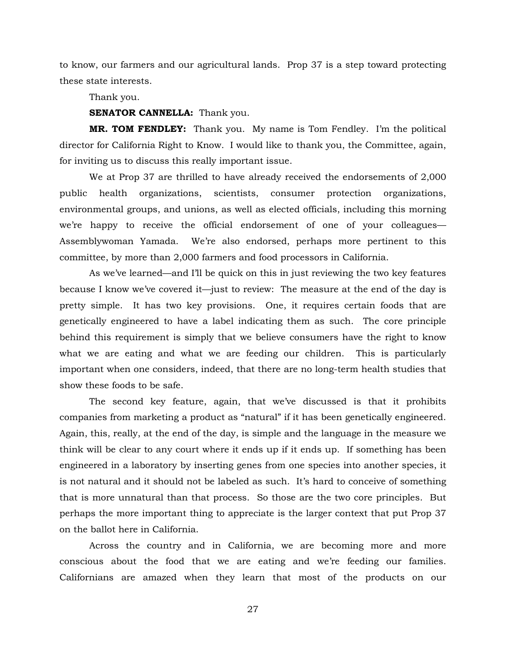to know, our farmers and our agricultural lands. Prop 37 is a step toward protecting these state interests.

Thank you.

## **SENATOR CANNELLA:** Thank you.

**MR. TOM FENDLEY:** Thank you. My name is Tom Fendley. I'm the political director for California Right to Know. I would like to thank you, the Committee, again, for inviting us to discuss this really important issue.

We at Prop 37 are thrilled to have already received the endorsements of 2,000 public health organizations, scientists, consumer protection organizations, environmental groups, and unions, as well as elected officials, including this morning we're happy to receive the official endorsement of one of your colleagues— Assemblywoman Yamada. We're also endorsed, perhaps more pertinent to this committee, by more than 2,000 farmers and food processors in California.

As we've learned—and I'll be quick on this in just reviewing the two key features because I know we've covered it—just to review: The measure at the end of the day is pretty simple. It has two key provisions. One, it requires certain foods that are genetically engineered to have a label indicating them as such. The core principle behind this requirement is simply that we believe consumers have the right to know what we are eating and what we are feeding our children. This is particularly important when one considers, indeed, that there are no long-term health studies that show these foods to be safe.

The second key feature, again, that we've discussed is that it prohibits companies from marketing a product as "natural" if it has been genetically engineered. Again, this, really, at the end of the day, is simple and the language in the measure we think will be clear to any court where it ends up if it ends up. If something has been engineered in a laboratory by inserting genes from one species into another species, it is not natural and it should not be labeled as such. It's hard to conceive of something that is more unnatural than that process. So those are the two core principles. But perhaps the more important thing to appreciate is the larger context that put Prop 37 on the ballot here in California.

Across the country and in California, we are becoming more and more conscious about the food that we are eating and we're feeding our families. Californians are amazed when they learn that most of the products on our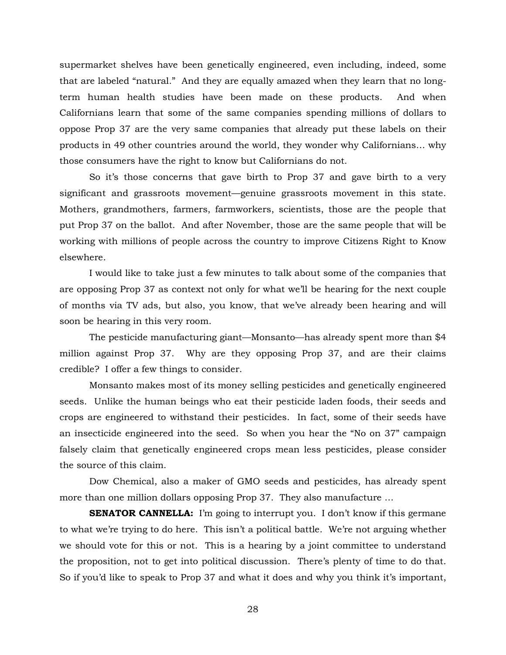supermarket shelves have been genetically engineered, even including, indeed, some that are labeled "natural." And they are equally amazed when they learn that no longterm human health studies have been made on these products. And when Californians learn that some of the same companies spending millions of dollars to oppose Prop 37 are the very same companies that already put these labels on their products in 49 other countries around the world, they wonder why Californians… why those consumers have the right to know but Californians do not.

So it's those concerns that gave birth to Prop 37 and gave birth to a very significant and grassroots movement—genuine grassroots movement in this state. Mothers, grandmothers, farmers, farmworkers, scientists, those are the people that put Prop 37 on the ballot. And after November, those are the same people that will be working with millions of people across the country to improve Citizens Right to Know elsewhere.

I would like to take just a few minutes to talk about some of the companies that are opposing Prop 37 as context not only for what we'll be hearing for the next couple of months via TV ads, but also, you know, that we've already been hearing and will soon be hearing in this very room.

The pesticide manufacturing giant—Monsanto—has already spent more than \$4 million against Prop 37. Why are they opposing Prop 37, and are their claims credible? I offer a few things to consider.

Monsanto makes most of its money selling pesticides and genetically engineered seeds. Unlike the human beings who eat their pesticide laden foods, their seeds and crops are engineered to withstand their pesticides. In fact, some of their seeds have an insecticide engineered into the seed. So when you hear the "No on 37" campaign falsely claim that genetically engineered crops mean less pesticides, please consider the source of this claim.

Dow Chemical, also a maker of GMO seeds and pesticides, has already spent more than one million dollars opposing Prop 37. They also manufacture …

**SENATOR CANNELLA:** I'm going to interrupt you. I don't know if this germane to what we're trying to do here. This isn't a political battle. We're not arguing whether we should vote for this or not. This is a hearing by a joint committee to understand the proposition, not to get into political discussion. There's plenty of time to do that. So if you'd like to speak to Prop 37 and what it does and why you think it's important,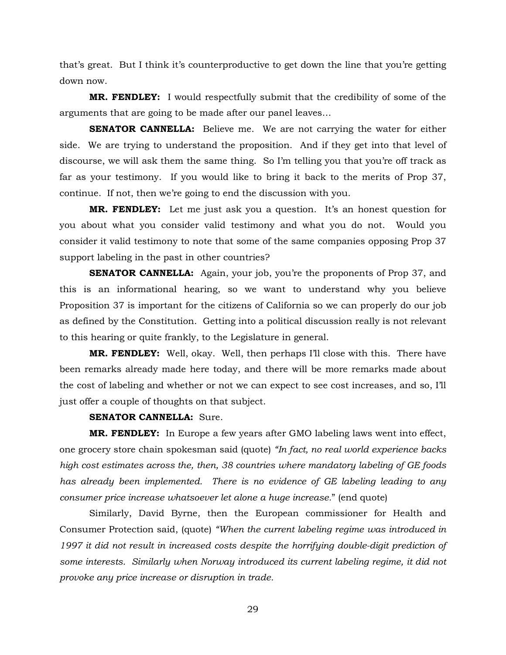that's great. But I think it's counterproductive to get down the line that you're getting down now.

**MR. FENDLEY:** I would respectfully submit that the credibility of some of the arguments that are going to be made after our panel leaves…

**SENATOR CANNELLA:** Believe me. We are not carrying the water for either side. We are trying to understand the proposition. And if they get into that level of discourse, we will ask them the same thing. So I'm telling you that you're off track as far as your testimony. If you would like to bring it back to the merits of Prop 37, continue. If not, then we're going to end the discussion with you.

**MR. FENDLEY:** Let me just ask you a question. It's an honest question for you about what you consider valid testimony and what you do not. Would you consider it valid testimony to note that some of the same companies opposing Prop 37 support labeling in the past in other countries?

**SENATOR CANNELLA:** Again, your job, you're the proponents of Prop 37, and this is an informational hearing, so we want to understand why you believe Proposition 37 is important for the citizens of California so we can properly do our job as defined by the Constitution. Getting into a political discussion really is not relevant to this hearing or quite frankly, to the Legislature in general.

**MR. FENDLEY:** Well, okay. Well, then perhaps I'll close with this. There have been remarks already made here today, and there will be more remarks made about the cost of labeling and whether or not we can expect to see cost increases, and so, I'll just offer a couple of thoughts on that subject.

#### **SENATOR CANNELLA:** Sure.

**MR. FENDLEY:** In Europe a few years after GMO labeling laws went into effect, one grocery store chain spokesman said (quote) *"In fact, no real world experience backs high cost estimates across the, then, 38 countries where mandatory labeling of GE foods*  has already been implemented. There is no evidence of GE labeling leading to any *consumer price increase whatsoever let alone a huge increase.*" (end quote)

Similarly, David Byrne, then the European commissioner for Health and Consumer Protection said, (quote) *"When the current labeling regime was introduced in 1997 it did not result in increased costs despite the horrifying double-digit prediction of some interests. Similarly when Norway introduced its current labeling regime, it did not provoke any price increase or disruption in trade.*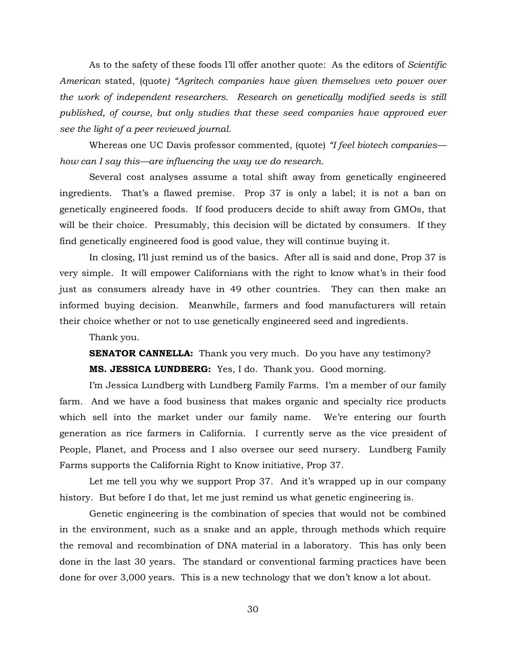As to the safety of these foods I'll offer another quote: As the editors of *Scientific American* stated, (quote*) "Agritech companies have given themselves veto power over the work of independent researchers. Research on genetically modified seeds is still published, of course, but only studies that these seed companies have approved ever see the light of a peer reviewed journal.*

Whereas one UC Davis professor commented, (quote) *"I feel biotech companies how can I say this—are influencing the way we do research.*

Several cost analyses assume a total shift away from genetically engineered ingredients. That's a flawed premise. Prop 37 is only a label; it is not a ban on genetically engineered foods. If food producers decide to shift away from GMOs, that will be their choice. Presumably, this decision will be dictated by consumers. If they find genetically engineered food is good value, they will continue buying it.

In closing, I'll just remind us of the basics. After all is said and done, Prop 37 is very simple. It will empower Californians with the right to know what's in their food just as consumers already have in 49 other countries. They can then make an informed buying decision. Meanwhile, farmers and food manufacturers will retain their choice whether or not to use genetically engineered seed and ingredients.

Thank you.

**SENATOR CANNELLA:** Thank you very much. Do you have any testimony? **MS. JESSICA LUNDBERG:** Yes, I do. Thank you. Good morning.

I'm Jessica Lundberg with Lundberg Family Farms. I'm a member of our family farm. And we have a food business that makes organic and specialty rice products which sell into the market under our family name. We're entering our fourth generation as rice farmers in California. I currently serve as the vice president of People, Planet, and Process and I also oversee our seed nursery. Lundberg Family Farms supports the California Right to Know initiative, Prop 37.

Let me tell you why we support Prop 37. And it's wrapped up in our company history. But before I do that, let me just remind us what genetic engineering is.

Genetic engineering is the combination of species that would not be combined in the environment, such as a snake and an apple, through methods which require the removal and recombination of DNA material in a laboratory. This has only been done in the last 30 years. The standard or conventional farming practices have been done for over 3,000 years. This is a new technology that we don't know a lot about.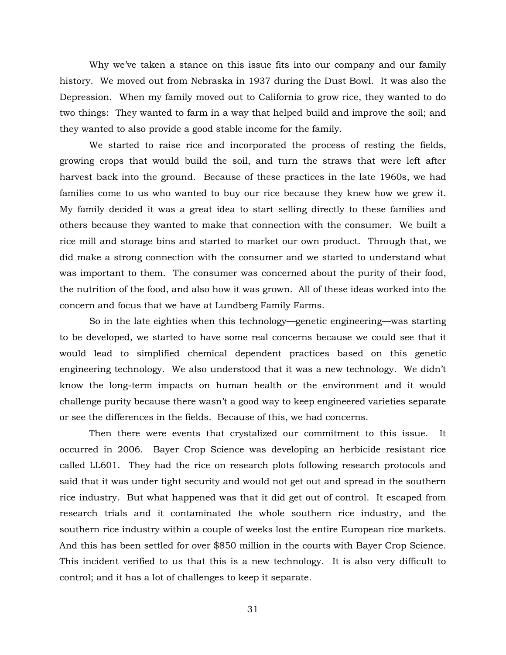Why we've taken a stance on this issue fits into our company and our family history. We moved out from Nebraska in 1937 during the Dust Bowl. It was also the Depression. When my family moved out to California to grow rice, they wanted to do two things: They wanted to farm in a way that helped build and improve the soil; and they wanted to also provide a good stable income for the family.

We started to raise rice and incorporated the process of resting the fields, growing crops that would build the soil, and turn the straws that were left after harvest back into the ground. Because of these practices in the late 1960s, we had families come to us who wanted to buy our rice because they knew how we grew it. My family decided it was a great idea to start selling directly to these families and others because they wanted to make that connection with the consumer. We built a rice mill and storage bins and started to market our own product. Through that, we did make a strong connection with the consumer and we started to understand what was important to them. The consumer was concerned about the purity of their food, the nutrition of the food, and also how it was grown. All of these ideas worked into the concern and focus that we have at Lundberg Family Farms.

So in the late eighties when this technology—genetic engineering—was starting to be developed, we started to have some real concerns because we could see that it would lead to simplified chemical dependent practices based on this genetic engineering technology. We also understood that it was a new technology. We didn't know the long-term impacts on human health or the environment and it would challenge purity because there wasn't a good way to keep engineered varieties separate or see the differences in the fields. Because of this, we had concerns.

Then there were events that crystalized our commitment to this issue. It occurred in 2006. Bayer Crop Science was developing an herbicide resistant rice called LL601. They had the rice on research plots following research protocols and said that it was under tight security and would not get out and spread in the southern rice industry. But what happened was that it did get out of control. It escaped from research trials and it contaminated the whole southern rice industry, and the southern rice industry within a couple of weeks lost the entire European rice markets. And this has been settled for over \$850 million in the courts with Bayer Crop Science. This incident verified to us that this is a new technology. It is also very difficult to control; and it has a lot of challenges to keep it separate.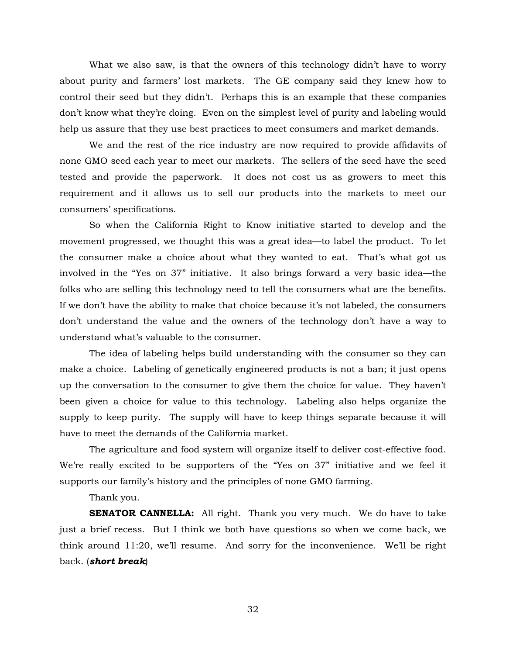What we also saw, is that the owners of this technology didn't have to worry about purity and farmers' lost markets. The GE company said they knew how to control their seed but they didn't. Perhaps this is an example that these companies don't know what they're doing. Even on the simplest level of purity and labeling would help us assure that they use best practices to meet consumers and market demands.

We and the rest of the rice industry are now required to provide affidavits of none GMO seed each year to meet our markets. The sellers of the seed have the seed tested and provide the paperwork. It does not cost us as growers to meet this requirement and it allows us to sell our products into the markets to meet our consumers' specifications.

So when the California Right to Know initiative started to develop and the movement progressed, we thought this was a great idea—to label the product. To let the consumer make a choice about what they wanted to eat. That's what got us involved in the "Yes on 37" initiative. It also brings forward a very basic idea—the folks who are selling this technology need to tell the consumers what are the benefits. If we don't have the ability to make that choice because it's not labeled, the consumers don't understand the value and the owners of the technology don't have a way to understand what's valuable to the consumer.

The idea of labeling helps build understanding with the consumer so they can make a choice. Labeling of genetically engineered products is not a ban; it just opens up the conversation to the consumer to give them the choice for value. They haven't been given a choice for value to this technology. Labeling also helps organize the supply to keep purity. The supply will have to keep things separate because it will have to meet the demands of the California market.

The agriculture and food system will organize itself to deliver cost-effective food. We're really excited to be supporters of the "Yes on 37" initiative and we feel it supports our family's history and the principles of none GMO farming.

Thank you.

**SENATOR CANNELLA:** All right. Thank you very much. We do have to take just a brief recess. But I think we both have questions so when we come back, we think around 11:20, we'll resume. And sorry for the inconvenience. We'll be right back. (*short break*)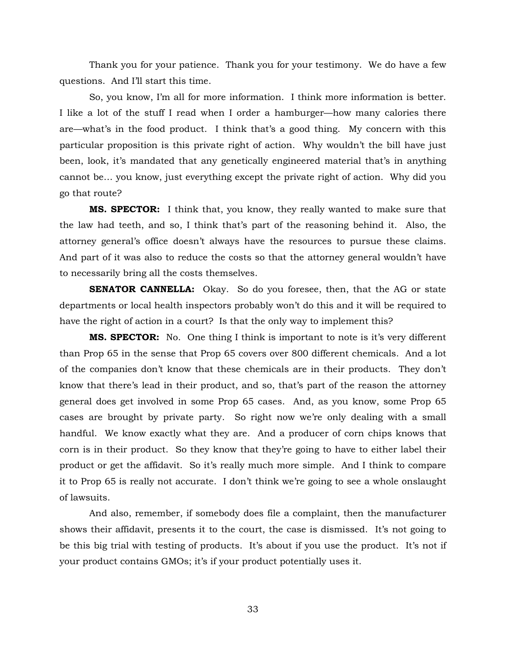Thank you for your patience. Thank you for your testimony. We do have a few questions. And I'll start this time.

So, you know, I'm all for more information. I think more information is better. I like a lot of the stuff I read when I order a hamburger—how many calories there are—what's in the food product. I think that's a good thing. My concern with this particular proposition is this private right of action. Why wouldn't the bill have just been, look, it's mandated that any genetically engineered material that's in anything cannot be… you know, just everything except the private right of action. Why did you go that route?

**MS. SPECTOR:** I think that, you know, they really wanted to make sure that the law had teeth, and so, I think that's part of the reasoning behind it. Also, the attorney general's office doesn't always have the resources to pursue these claims. And part of it was also to reduce the costs so that the attorney general wouldn't have to necessarily bring all the costs themselves.

**SENATOR CANNELLA:** Okay. So do you foresee, then, that the AG or state departments or local health inspectors probably won't do this and it will be required to have the right of action in a court? Is that the only way to implement this?

**MS. SPECTOR:** No. One thing I think is important to note is it's very different than Prop 65 in the sense that Prop 65 covers over 800 different chemicals. And a lot of the companies don't know that these chemicals are in their products. They don't know that there's lead in their product, and so, that's part of the reason the attorney general does get involved in some Prop 65 cases. And, as you know, some Prop 65 cases are brought by private party. So right now we're only dealing with a small handful. We know exactly what they are. And a producer of corn chips knows that corn is in their product. So they know that they're going to have to either label their product or get the affidavit. So it's really much more simple. And I think to compare it to Prop 65 is really not accurate. I don't think we're going to see a whole onslaught of lawsuits.

And also, remember, if somebody does file a complaint, then the manufacturer shows their affidavit, presents it to the court, the case is dismissed. It's not going to be this big trial with testing of products. It's about if you use the product. It's not if your product contains GMOs; it's if your product potentially uses it.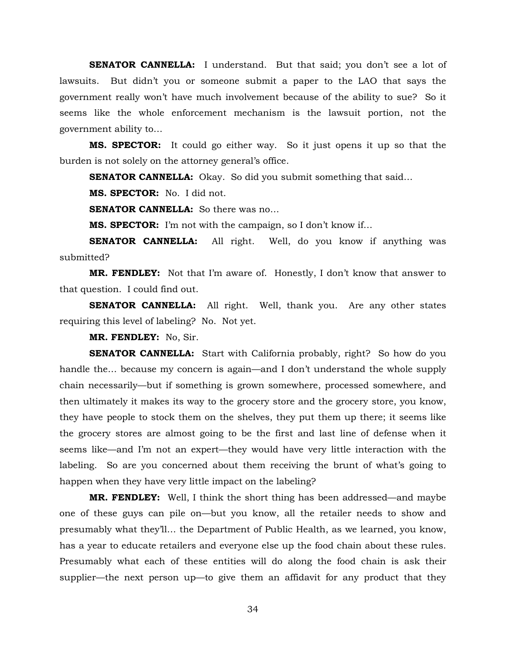**SENATOR CANNELLA:** I understand. But that said; you don't see a lot of lawsuits. But didn't you or someone submit a paper to the LAO that says the government really won't have much involvement because of the ability to sue? So it seems like the whole enforcement mechanism is the lawsuit portion, not the government ability to…

**MS. SPECTOR:** It could go either way. So it just opens it up so that the burden is not solely on the attorney general's office.

**SENATOR CANNELLA:** Okay. So did you submit something that said...

**MS. SPECTOR:** No. I did not.

**SENATOR CANNELLA:** So there was no...

**MS. SPECTOR:** I'm not with the campaign, so I don't know if…

**SENATOR CANNELLA:** All right. Well, do you know if anything was submitted?

**MR. FENDLEY:** Not that I'm aware of. Honestly, I don't know that answer to that question. I could find out.

**SENATOR CANNELLA:** All right. Well, thank you. Are any other states requiring this level of labeling? No. Not yet.

**MR. FENDLEY:** No, Sir.

**SENATOR CANNELLA:** Start with California probably, right? So how do you handle the… because my concern is again—and I don't understand the whole supply chain necessarily—but if something is grown somewhere, processed somewhere, and then ultimately it makes its way to the grocery store and the grocery store, you know, they have people to stock them on the shelves, they put them up there; it seems like the grocery stores are almost going to be the first and last line of defense when it seems like—and I'm not an expert—they would have very little interaction with the labeling. So are you concerned about them receiving the brunt of what's going to happen when they have very little impact on the labeling?

**MR. FENDLEY:** Well, I think the short thing has been addressed—and maybe one of these guys can pile on—but you know, all the retailer needs to show and presumably what they'll… the Department of Public Health, as we learned, you know, has a year to educate retailers and everyone else up the food chain about these rules. Presumably what each of these entities will do along the food chain is ask their supplier—the next person up—to give them an affidavit for any product that they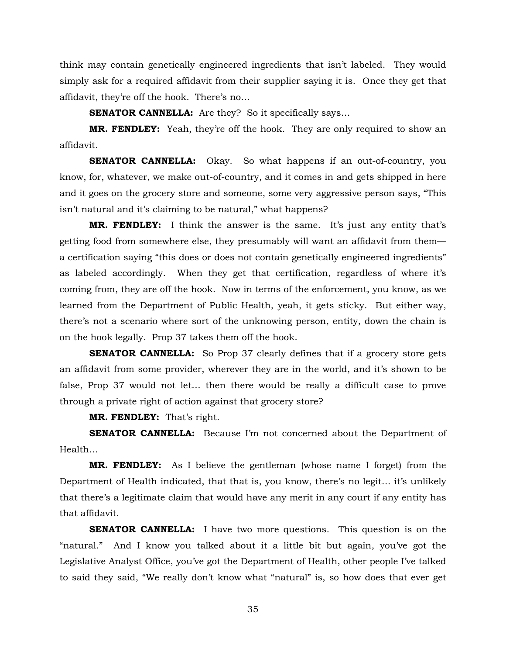think may contain genetically engineered ingredients that isn't labeled. They would simply ask for a required affidavit from their supplier saying it is. Once they get that affidavit, they're off the hook. There's no…

**SENATOR CANNELLA:** Are they? So it specifically says...

**MR. FENDLEY:** Yeah, they're off the hook. They are only required to show an affidavit.

**SENATOR CANNELLA:** Okay. So what happens if an out-of-country, you know, for, whatever, we make out-of-country, and it comes in and gets shipped in here and it goes on the grocery store and someone, some very aggressive person says, "This isn't natural and it's claiming to be natural," what happens?

**MR. FENDLEY:** I think the answer is the same. It's just any entity that's getting food from somewhere else, they presumably will want an affidavit from them a certification saying "this does or does not contain genetically engineered ingredients" as labeled accordingly. When they get that certification, regardless of where it's coming from, they are off the hook. Now in terms of the enforcement, you know, as we learned from the Department of Public Health, yeah, it gets sticky. But either way, there's not a scenario where sort of the unknowing person, entity, down the chain is on the hook legally. Prop 37 takes them off the hook.

**SENATOR CANNELLA:** So Prop 37 clearly defines that if a grocery store gets an affidavit from some provider, wherever they are in the world, and it's shown to be false, Prop 37 would not let… then there would be really a difficult case to prove through a private right of action against that grocery store?

**MR. FENDLEY:** That's right.

**SENATOR CANNELLA:** Because I'm not concerned about the Department of Health…

**MR. FENDLEY:** As I believe the gentleman (whose name I forget) from the Department of Health indicated, that that is, you know, there's no legit… it's unlikely that there's a legitimate claim that would have any merit in any court if any entity has that affidavit.

**SENATOR CANNELLA:** I have two more questions. This question is on the "natural." And I know you talked about it a little bit but again, you've got the Legislative Analyst Office, you've got the Department of Health, other people I've talked to said they said, "We really don't know what "natural" is, so how does that ever get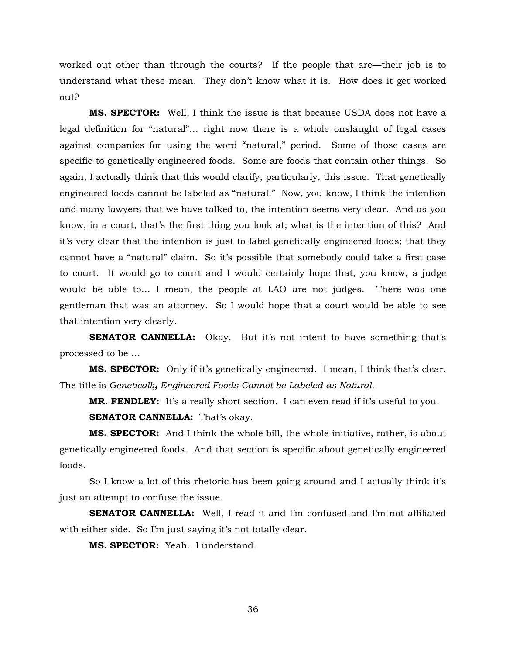worked out other than through the courts? If the people that are—their job is to understand what these mean. They don't know what it is. How does it get worked out?

**MS. SPECTOR:** Well, I think the issue is that because USDA does not have a legal definition for "natural"… right now there is a whole onslaught of legal cases against companies for using the word "natural," period. Some of those cases are specific to genetically engineered foods. Some are foods that contain other things. So again, I actually think that this would clarify, particularly, this issue. That genetically engineered foods cannot be labeled as "natural." Now, you know, I think the intention and many lawyers that we have talked to, the intention seems very clear. And as you know, in a court, that's the first thing you look at; what is the intention of this? And it's very clear that the intention is just to label genetically engineered foods; that they cannot have a "natural" claim. So it's possible that somebody could take a first case to court. It would go to court and I would certainly hope that, you know, a judge would be able to… I mean, the people at LAO are not judges. There was one gentleman that was an attorney. So I would hope that a court would be able to see that intention very clearly.

**SENATOR CANNELLA:** Okay. But it's not intent to have something that's processed to be …

**MS. SPECTOR:** Only if it's genetically engineered. I mean, I think that's clear. The title is *Genetically Engineered Foods Cannot be Labeled as Natural*.

**MR. FENDLEY:** It's a really short section. I can even read if it's useful to you.

**SENATOR CANNELLA:** That's okay.

**MS. SPECTOR:** And I think the whole bill, the whole initiative, rather, is about genetically engineered foods. And that section is specific about genetically engineered foods.

So I know a lot of this rhetoric has been going around and I actually think it's just an attempt to confuse the issue.

**SENATOR CANNELLA:** Well, I read it and I'm confused and I'm not affiliated with either side. So I'm just saying it's not totally clear.

**MS. SPECTOR:** Yeah. I understand.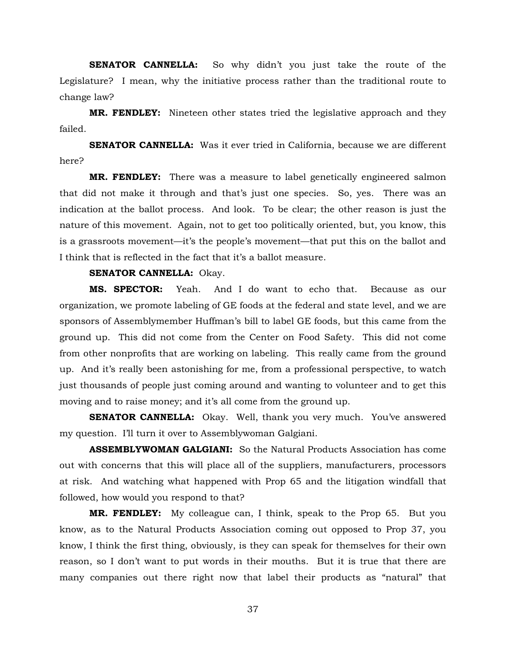**SENATOR CANNELLA:** So why didn't you just take the route of the Legislature? I mean, why the initiative process rather than the traditional route to change law?

**MR. FENDLEY:** Nineteen other states tried the legislative approach and they failed.

**SENATOR CANNELLA:** Was it ever tried in California, because we are different here?

**MR. FENDLEY:** There was a measure to label genetically engineered salmon that did not make it through and that's just one species. So, yes. There was an indication at the ballot process. And look. To be clear; the other reason is just the nature of this movement. Again, not to get too politically oriented, but, you know, this is a grassroots movement—it's the people's movement—that put this on the ballot and I think that is reflected in the fact that it's a ballot measure.

# **SENATOR CANNELLA:** Okay.

**MS. SPECTOR:** Yeah. And I do want to echo that. Because as our organization, we promote labeling of GE foods at the federal and state level, and we are sponsors of Assemblymember Huffman's bill to label GE foods, but this came from the ground up. This did not come from the Center on Food Safety. This did not come from other nonprofits that are working on labeling. This really came from the ground up. And it's really been astonishing for me, from a professional perspective, to watch just thousands of people just coming around and wanting to volunteer and to get this moving and to raise money; and it's all come from the ground up.

**SENATOR CANNELLA:** Okay. Well, thank you very much. You've answered my question. I'll turn it over to Assemblywoman Galgiani.

**ASSEMBLYWOMAN GALGIANI:** So the Natural Products Association has come out with concerns that this will place all of the suppliers, manufacturers, processors at risk. And watching what happened with Prop 65 and the litigation windfall that followed, how would you respond to that?

**MR. FENDLEY:** My colleague can, I think, speak to the Prop 65. But you know, as to the Natural Products Association coming out opposed to Prop 37, you know, I think the first thing, obviously, is they can speak for themselves for their own reason, so I don't want to put words in their mouths. But it is true that there are many companies out there right now that label their products as "natural" that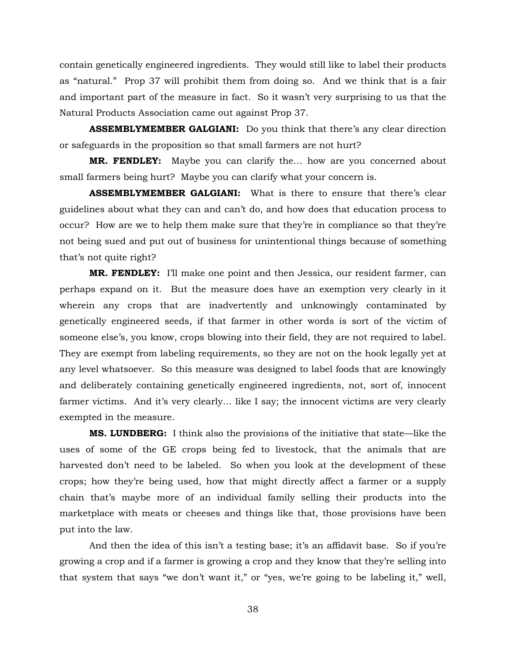contain genetically engineered ingredients. They would still like to label their products as "natural." Prop 37 will prohibit them from doing so. And we think that is a fair and important part of the measure in fact. So it wasn't very surprising to us that the Natural Products Association came out against Prop 37.

**ASSEMBLYMEMBER GALGIANI:** Do you think that there's any clear direction or safeguards in the proposition so that small farmers are not hurt?

**MR. FENDLEY:** Maybe you can clarify the… how are you concerned about small farmers being hurt? Maybe you can clarify what your concern is.

**ASSEMBLYMEMBER GALGIANI:** What is there to ensure that there's clear guidelines about what they can and can't do, and how does that education process to occur? How are we to help them make sure that they're in compliance so that they're not being sued and put out of business for unintentional things because of something that's not quite right?

**MR. FENDLEY:** I'll make one point and then Jessica, our resident farmer, can perhaps expand on it. But the measure does have an exemption very clearly in it wherein any crops that are inadvertently and unknowingly contaminated by genetically engineered seeds, if that farmer in other words is sort of the victim of someone else's, you know, crops blowing into their field, they are not required to label. They are exempt from labeling requirements, so they are not on the hook legally yet at any level whatsoever. So this measure was designed to label foods that are knowingly and deliberately containing genetically engineered ingredients, not, sort of, innocent farmer victims. And it's very clearly… like I say; the innocent victims are very clearly exempted in the measure.

**MS. LUNDBERG:** I think also the provisions of the initiative that state—like the uses of some of the GE crops being fed to livestock, that the animals that are harvested don't need to be labeled. So when you look at the development of these crops; how they're being used, how that might directly affect a farmer or a supply chain that's maybe more of an individual family selling their products into the marketplace with meats or cheeses and things like that, those provisions have been put into the law.

And then the idea of this isn't a testing base; it's an affidavit base. So if you're growing a crop and if a farmer is growing a crop and they know that they're selling into that system that says "we don't want it," or "yes, we're going to be labeling it," well,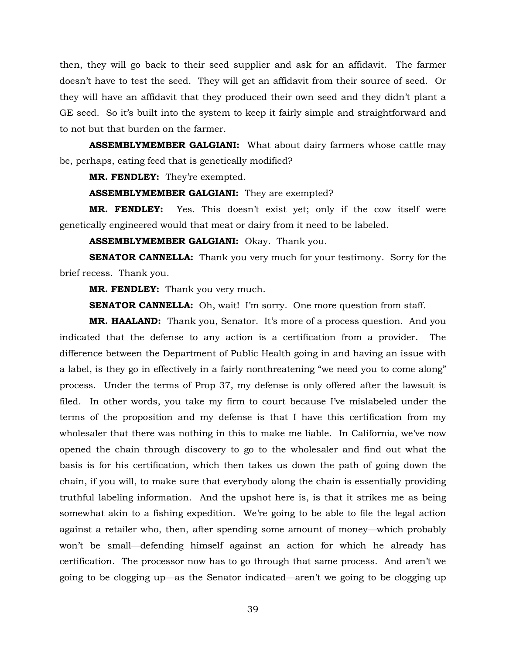then, they will go back to their seed supplier and ask for an affidavit. The farmer doesn't have to test the seed. They will get an affidavit from their source of seed. Or they will have an affidavit that they produced their own seed and they didn't plant a GE seed. So it's built into the system to keep it fairly simple and straightforward and to not but that burden on the farmer.

**ASSEMBLYMEMBER GALGIANI:** What about dairy farmers whose cattle may be, perhaps, eating feed that is genetically modified?

**MR. FENDLEY:** They're exempted.

**ASSEMBLYMEMBER GALGIANI:** They are exempted?

**MR. FENDLEY:** Yes. This doesn't exist yet; only if the cow itself were genetically engineered would that meat or dairy from it need to be labeled.

**ASSEMBLYMEMBER GALGIANI:** Okay. Thank you.

**SENATOR CANNELLA:** Thank you very much for your testimony. Sorry for the brief recess. Thank you.

**MR. FENDLEY:** Thank you very much.

**SENATOR CANNELLA:** Oh, wait! I'm sorry. One more question from staff.

**MR. HAALAND:** Thank you, Senator. It's more of a process question. And you indicated that the defense to any action is a certification from a provider. The difference between the Department of Public Health going in and having an issue with a label, is they go in effectively in a fairly nonthreatening "we need you to come along" process. Under the terms of Prop 37, my defense is only offered after the lawsuit is filed. In other words, you take my firm to court because I've mislabeled under the terms of the proposition and my defense is that I have this certification from my wholesaler that there was nothing in this to make me liable. In California, we've now opened the chain through discovery to go to the wholesaler and find out what the basis is for his certification, which then takes us down the path of going down the chain, if you will, to make sure that everybody along the chain is essentially providing truthful labeling information. And the upshot here is, is that it strikes me as being somewhat akin to a fishing expedition. We're going to be able to file the legal action against a retailer who, then, after spending some amount of money—which probably won't be small—defending himself against an action for which he already has certification. The processor now has to go through that same process. And aren't we going to be clogging up—as the Senator indicated—aren't we going to be clogging up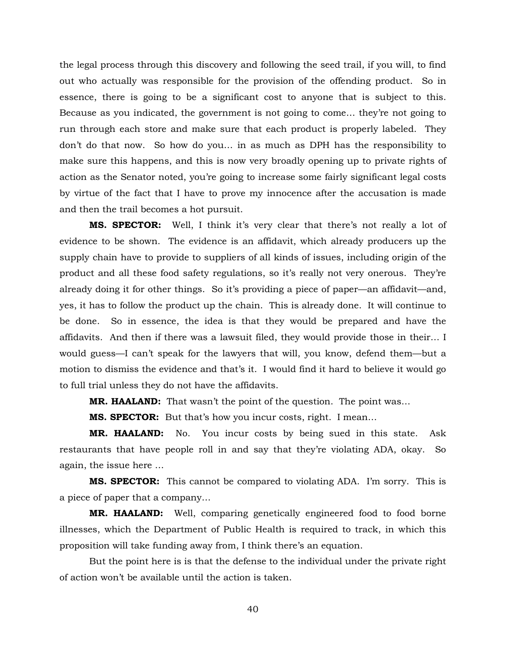the legal process through this discovery and following the seed trail, if you will, to find out who actually was responsible for the provision of the offending product. So in essence, there is going to be a significant cost to anyone that is subject to this. Because as you indicated, the government is not going to come… they're not going to run through each store and make sure that each product is properly labeled. They don't do that now. So how do you… in as much as DPH has the responsibility to make sure this happens, and this is now very broadly opening up to private rights of action as the Senator noted, you're going to increase some fairly significant legal costs by virtue of the fact that I have to prove my innocence after the accusation is made and then the trail becomes a hot pursuit.

**MS. SPECTOR:** Well, I think it's very clear that there's not really a lot of evidence to be shown. The evidence is an affidavit, which already producers up the supply chain have to provide to suppliers of all kinds of issues, including origin of the product and all these food safety regulations, so it's really not very onerous. They're already doing it for other things. So it's providing a piece of paper—an affidavit—and, yes, it has to follow the product up the chain. This is already done. It will continue to be done. So in essence, the idea is that they would be prepared and have the affidavits. And then if there was a lawsuit filed, they would provide those in their… I would guess—I can't speak for the lawyers that will, you know, defend them—but a motion to dismiss the evidence and that's it. I would find it hard to believe it would go to full trial unless they do not have the affidavits.

**MR. HAALAND:** That wasn't the point of the question. The point was…

**MS. SPECTOR:** But that's how you incur costs, right. I mean…

**MR. HAALAND:** No. You incur costs by being sued in this state. Ask restaurants that have people roll in and say that they're violating ADA, okay. So again, the issue here …

**MS. SPECTOR:** This cannot be compared to violating ADA. I'm sorry. This is a piece of paper that a company…

**MR. HAALAND:** Well, comparing genetically engineered food to food borne illnesses, which the Department of Public Health is required to track, in which this proposition will take funding away from, I think there's an equation.

But the point here is is that the defense to the individual under the private right of action won't be available until the action is taken.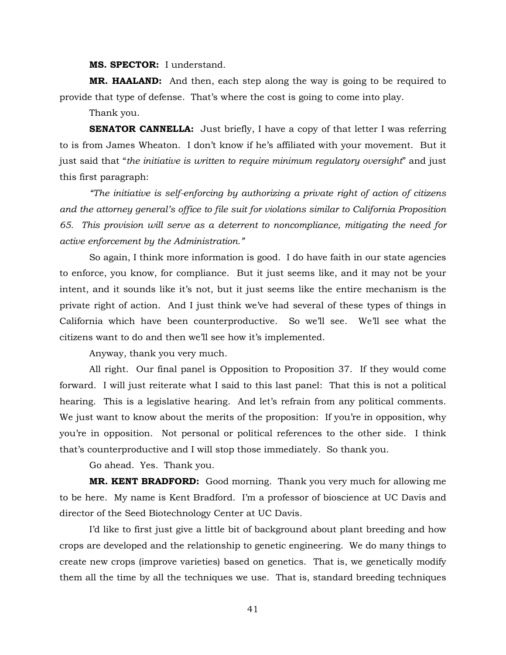**MS. SPECTOR:** I understand.

**MR. HAALAND:** And then, each step along the way is going to be required to provide that type of defense. That's where the cost is going to come into play.

Thank you.

**SENATOR CANNELLA:** Just briefly, I have a copy of that letter I was referring to is from James Wheaton. I don't know if he's affiliated with your movement. But it just said that "*the initiative is written to require minimum regulatory oversight*" and just this first paragraph:

*"The initiative is self-enforcing by authorizing a private right of action of citizens and the attorney general's office to file suit for violations similar to California Proposition 65. This provision will serve as a deterrent to noncompliance, mitigating the need for active enforcement by the Administration."*

So again, I think more information is good. I do have faith in our state agencies to enforce, you know, for compliance. But it just seems like, and it may not be your intent, and it sounds like it's not, but it just seems like the entire mechanism is the private right of action. And I just think we've had several of these types of things in California which have been counterproductive. So we'll see. We'll see what the citizens want to do and then we'll see how it's implemented.

Anyway, thank you very much.

All right. Our final panel is Opposition to Proposition 37. If they would come forward. I will just reiterate what I said to this last panel: That this is not a political hearing. This is a legislative hearing. And let's refrain from any political comments. We just want to know about the merits of the proposition: If you're in opposition, why you're in opposition. Not personal or political references to the other side. I think that's counterproductive and I will stop those immediately. So thank you.

Go ahead. Yes. Thank you.

**MR. KENT BRADFORD:** Good morning. Thank you very much for allowing me to be here. My name is Kent Bradford. I'm a professor of bioscience at UC Davis and director of the Seed Biotechnology Center at UC Davis.

I'd like to first just give a little bit of background about plant breeding and how crops are developed and the relationship to genetic engineering. We do many things to create new crops (improve varieties) based on genetics. That is, we genetically modify them all the time by all the techniques we use. That is, standard breeding techniques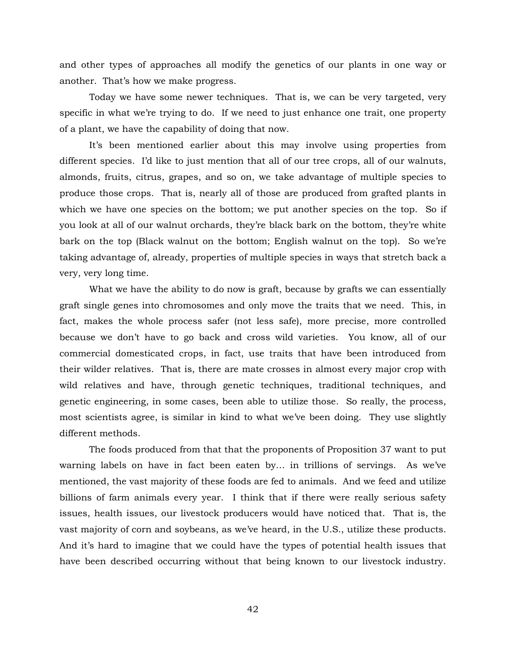and other types of approaches all modify the genetics of our plants in one way or another. That's how we make progress.

Today we have some newer techniques. That is, we can be very targeted, very specific in what we're trying to do. If we need to just enhance one trait, one property of a plant, we have the capability of doing that now.

It's been mentioned earlier about this may involve using properties from different species. I'd like to just mention that all of our tree crops, all of our walnuts, almonds, fruits, citrus, grapes, and so on, we take advantage of multiple species to produce those crops. That is, nearly all of those are produced from grafted plants in which we have one species on the bottom; we put another species on the top. So if you look at all of our walnut orchards, they're black bark on the bottom, they're white bark on the top (Black walnut on the bottom; English walnut on the top). So we're taking advantage of, already, properties of multiple species in ways that stretch back a very, very long time.

What we have the ability to do now is graft, because by grafts we can essentially graft single genes into chromosomes and only move the traits that we need. This, in fact, makes the whole process safer (not less safe), more precise, more controlled because we don't have to go back and cross wild varieties. You know, all of our commercial domesticated crops, in fact, use traits that have been introduced from their wilder relatives. That is, there are mate crosses in almost every major crop with wild relatives and have, through genetic techniques, traditional techniques, and genetic engineering, in some cases, been able to utilize those. So really, the process, most scientists agree, is similar in kind to what we've been doing. They use slightly different methods.

The foods produced from that that the proponents of Proposition 37 want to put warning labels on have in fact been eaten by… in trillions of servings. As we've mentioned, the vast majority of these foods are fed to animals. And we feed and utilize billions of farm animals every year. I think that if there were really serious safety issues, health issues, our livestock producers would have noticed that. That is, the vast majority of corn and soybeans, as we've heard, in the U.S., utilize these products. And it's hard to imagine that we could have the types of potential health issues that have been described occurring without that being known to our livestock industry.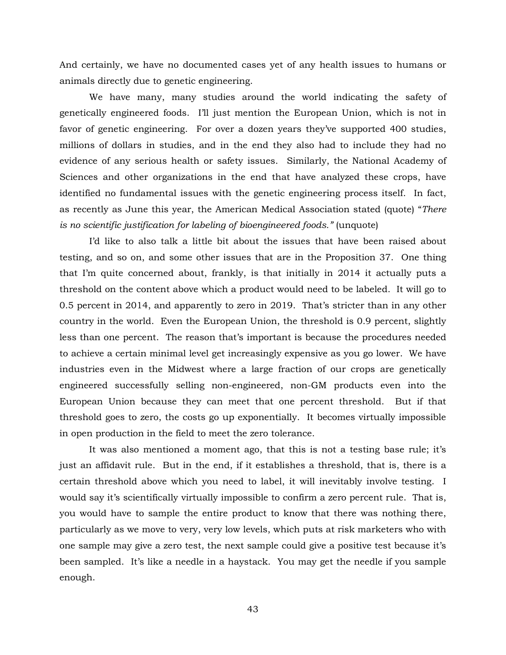And certainly, we have no documented cases yet of any health issues to humans or animals directly due to genetic engineering.

We have many, many studies around the world indicating the safety of genetically engineered foods. I'll just mention the European Union, which is not in favor of genetic engineering. For over a dozen years they've supported 400 studies, millions of dollars in studies, and in the end they also had to include they had no evidence of any serious health or safety issues. Similarly, the National Academy of Sciences and other organizations in the end that have analyzed these crops, have identified no fundamental issues with the genetic engineering process itself. In fact, as recently as June this year, the American Medical Association stated (quote) "*There is no scientific justification for labeling of bioengineered foods."* (unquote)

I'd like to also talk a little bit about the issues that have been raised about testing, and so on, and some other issues that are in the Proposition 37. One thing that I'm quite concerned about, frankly, is that initially in 2014 it actually puts a threshold on the content above which a product would need to be labeled. It will go to 0.5 percent in 2014, and apparently to zero in 2019. That's stricter than in any other country in the world. Even the European Union, the threshold is 0.9 percent, slightly less than one percent. The reason that's important is because the procedures needed to achieve a certain minimal level get increasingly expensive as you go lower. We have industries even in the Midwest where a large fraction of our crops are genetically engineered successfully selling non-engineered, non-GM products even into the European Union because they can meet that one percent threshold. But if that threshold goes to zero, the costs go up exponentially. It becomes virtually impossible in open production in the field to meet the zero tolerance.

It was also mentioned a moment ago, that this is not a testing base rule; it's just an affidavit rule. But in the end, if it establishes a threshold, that is, there is a certain threshold above which you need to label, it will inevitably involve testing. I would say it's scientifically virtually impossible to confirm a zero percent rule. That is, you would have to sample the entire product to know that there was nothing there, particularly as we move to very, very low levels, which puts at risk marketers who with one sample may give a zero test, the next sample could give a positive test because it's been sampled. It's like a needle in a haystack. You may get the needle if you sample enough.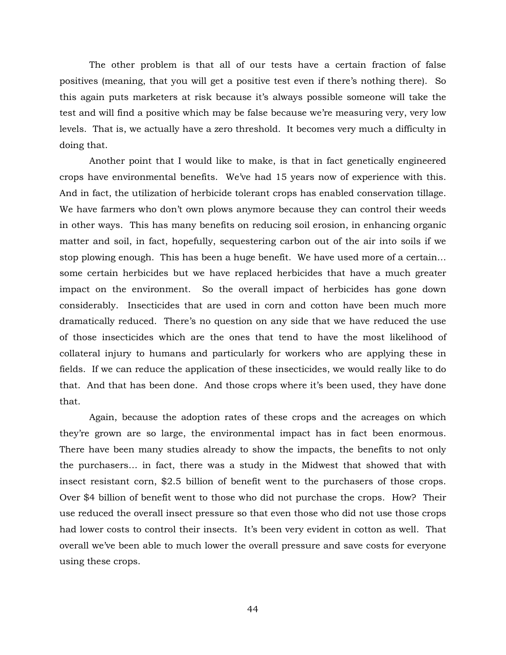The other problem is that all of our tests have a certain fraction of false positives (meaning, that you will get a positive test even if there's nothing there). So this again puts marketers at risk because it's always possible someone will take the test and will find a positive which may be false because we're measuring very, very low levels. That is, we actually have a zero threshold. It becomes very much a difficulty in doing that.

Another point that I would like to make, is that in fact genetically engineered crops have environmental benefits. We've had 15 years now of experience with this. And in fact, the utilization of herbicide tolerant crops has enabled conservation tillage. We have farmers who don't own plows anymore because they can control their weeds in other ways. This has many benefits on reducing soil erosion, in enhancing organic matter and soil, in fact, hopefully, sequestering carbon out of the air into soils if we stop plowing enough. This has been a huge benefit. We have used more of a certain… some certain herbicides but we have replaced herbicides that have a much greater impact on the environment. So the overall impact of herbicides has gone down considerably. Insecticides that are used in corn and cotton have been much more dramatically reduced. There's no question on any side that we have reduced the use of those insecticides which are the ones that tend to have the most likelihood of collateral injury to humans and particularly for workers who are applying these in fields. If we can reduce the application of these insecticides, we would really like to do that. And that has been done. And those crops where it's been used, they have done that.

Again, because the adoption rates of these crops and the acreages on which they're grown are so large, the environmental impact has in fact been enormous. There have been many studies already to show the impacts, the benefits to not only the purchasers… in fact, there was a study in the Midwest that showed that with insect resistant corn, \$2.5 billion of benefit went to the purchasers of those crops. Over \$4 billion of benefit went to those who did not purchase the crops. How? Their use reduced the overall insect pressure so that even those who did not use those crops had lower costs to control their insects. It's been very evident in cotton as well. That overall we've been able to much lower the overall pressure and save costs for everyone using these crops.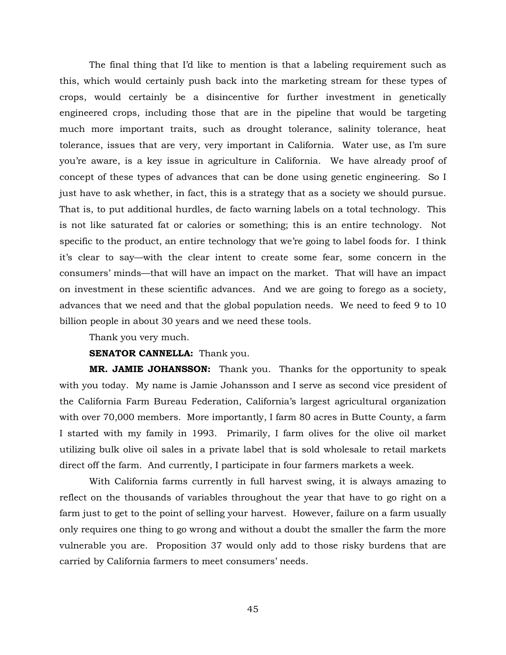The final thing that I'd like to mention is that a labeling requirement such as this, which would certainly push back into the marketing stream for these types of crops, would certainly be a disincentive for further investment in genetically engineered crops, including those that are in the pipeline that would be targeting much more important traits, such as drought tolerance, salinity tolerance, heat tolerance, issues that are very, very important in California. Water use, as I'm sure you're aware, is a key issue in agriculture in California. We have already proof of concept of these types of advances that can be done using genetic engineering. So I just have to ask whether, in fact, this is a strategy that as a society we should pursue. That is, to put additional hurdles, de facto warning labels on a total technology. This is not like saturated fat or calories or something; this is an entire technology. Not specific to the product, an entire technology that we're going to label foods for. I think it's clear to say—with the clear intent to create some fear, some concern in the consumers' minds—that will have an impact on the market. That will have an impact on investment in these scientific advances. And we are going to forego as a society, advances that we need and that the global population needs. We need to feed 9 to 10 billion people in about 30 years and we need these tools.

Thank you very much.

## **SENATOR CANNELLA:** Thank you.

**MR. JAMIE JOHANSSON:** Thank you. Thanks for the opportunity to speak with you today. My name is Jamie Johansson and I serve as second vice president of the California Farm Bureau Federation, California's largest agricultural organization with over 70,000 members. More importantly, I farm 80 acres in Butte County, a farm I started with my family in 1993. Primarily, I farm olives for the olive oil market utilizing bulk olive oil sales in a private label that is sold wholesale to retail markets direct off the farm. And currently, I participate in four farmers markets a week.

With California farms currently in full harvest swing, it is always amazing to reflect on the thousands of variables throughout the year that have to go right on a farm just to get to the point of selling your harvest. However, failure on a farm usually only requires one thing to go wrong and without a doubt the smaller the farm the more vulnerable you are. Proposition 37 would only add to those risky burdens that are carried by California farmers to meet consumers' needs.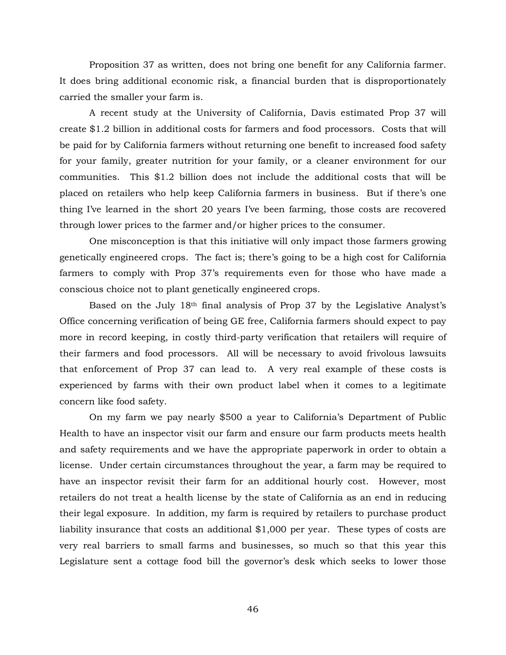Proposition 37 as written, does not bring one benefit for any California farmer. It does bring additional economic risk, a financial burden that is disproportionately carried the smaller your farm is.

A recent study at the University of California, Davis estimated Prop 37 will create \$1.2 billion in additional costs for farmers and food processors. Costs that will be paid for by California farmers without returning one benefit to increased food safety for your family, greater nutrition for your family, or a cleaner environment for our communities. This \$1.2 billion does not include the additional costs that will be placed on retailers who help keep California farmers in business. But if there's one thing I've learned in the short 20 years I've been farming, those costs are recovered through lower prices to the farmer and/or higher prices to the consumer.

One misconception is that this initiative will only impact those farmers growing genetically engineered crops. The fact is; there's going to be a high cost for California farmers to comply with Prop 37's requirements even for those who have made a conscious choice not to plant genetically engineered crops.

Based on the July 18th final analysis of Prop 37 by the Legislative Analyst's Office concerning verification of being GE free, California farmers should expect to pay more in record keeping, in costly third-party verification that retailers will require of their farmers and food processors. All will be necessary to avoid frivolous lawsuits that enforcement of Prop 37 can lead to. A very real example of these costs is experienced by farms with their own product label when it comes to a legitimate concern like food safety.

On my farm we pay nearly \$500 a year to California's Department of Public Health to have an inspector visit our farm and ensure our farm products meets health and safety requirements and we have the appropriate paperwork in order to obtain a license. Under certain circumstances throughout the year, a farm may be required to have an inspector revisit their farm for an additional hourly cost. However, most retailers do not treat a health license by the state of California as an end in reducing their legal exposure. In addition, my farm is required by retailers to purchase product liability insurance that costs an additional \$1,000 per year. These types of costs are very real barriers to small farms and businesses, so much so that this year this Legislature sent a cottage food bill the governor's desk which seeks to lower those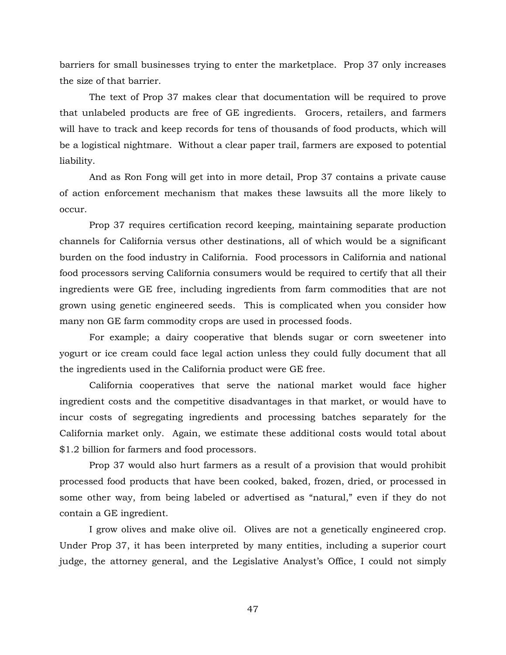barriers for small businesses trying to enter the marketplace. Prop 37 only increases the size of that barrier.

The text of Prop 37 makes clear that documentation will be required to prove that unlabeled products are free of GE ingredients. Grocers, retailers, and farmers will have to track and keep records for tens of thousands of food products, which will be a logistical nightmare. Without a clear paper trail, farmers are exposed to potential liability.

And as Ron Fong will get into in more detail, Prop 37 contains a private cause of action enforcement mechanism that makes these lawsuits all the more likely to occur.

Prop 37 requires certification record keeping, maintaining separate production channels for California versus other destinations, all of which would be a significant burden on the food industry in California. Food processors in California and national food processors serving California consumers would be required to certify that all their ingredients were GE free, including ingredients from farm commodities that are not grown using genetic engineered seeds. This is complicated when you consider how many non GE farm commodity crops are used in processed foods.

For example; a dairy cooperative that blends sugar or corn sweetener into yogurt or ice cream could face legal action unless they could fully document that all the ingredients used in the California product were GE free.

California cooperatives that serve the national market would face higher ingredient costs and the competitive disadvantages in that market, or would have to incur costs of segregating ingredients and processing batches separately for the California market only. Again, we estimate these additional costs would total about \$1.2 billion for farmers and food processors.

Prop 37 would also hurt farmers as a result of a provision that would prohibit processed food products that have been cooked, baked, frozen, dried, or processed in some other way, from being labeled or advertised as "natural," even if they do not contain a GE ingredient.

I grow olives and make olive oil. Olives are not a genetically engineered crop. Under Prop 37, it has been interpreted by many entities, including a superior court judge, the attorney general, and the Legislative Analyst's Office, I could not simply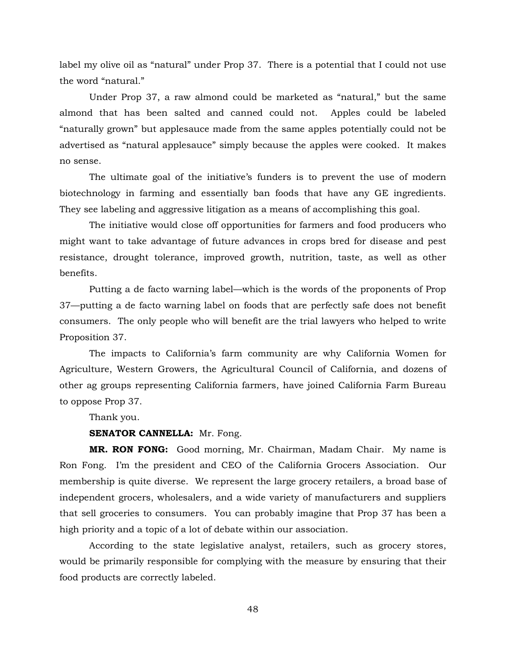label my olive oil as "natural" under Prop 37. There is a potential that I could not use the word "natural."

Under Prop 37, a raw almond could be marketed as "natural," but the same almond that has been salted and canned could not. Apples could be labeled "naturally grown" but applesauce made from the same apples potentially could not be advertised as "natural applesauce" simply because the apples were cooked. It makes no sense.

The ultimate goal of the initiative's funders is to prevent the use of modern biotechnology in farming and essentially ban foods that have any GE ingredients. They see labeling and aggressive litigation as a means of accomplishing this goal.

The initiative would close off opportunities for farmers and food producers who might want to take advantage of future advances in crops bred for disease and pest resistance, drought tolerance, improved growth, nutrition, taste, as well as other benefits.

Putting a de facto warning label—which is the words of the proponents of Prop 37—putting a de facto warning label on foods that are perfectly safe does not benefit consumers. The only people who will benefit are the trial lawyers who helped to write Proposition 37.

The impacts to California's farm community are why California Women for Agriculture, Western Growers, the Agricultural Council of California, and dozens of other ag groups representing California farmers, have joined California Farm Bureau to oppose Prop 37.

Thank you.

## **SENATOR CANNELLA:** Mr. Fong.

**MR. RON FONG:** Good morning, Mr. Chairman, Madam Chair. My name is Ron Fong. I'm the president and CEO of the California Grocers Association. Our membership is quite diverse. We represent the large grocery retailers, a broad base of independent grocers, wholesalers, and a wide variety of manufacturers and suppliers that sell groceries to consumers. You can probably imagine that Prop 37 has been a high priority and a topic of a lot of debate within our association.

According to the state legislative analyst, retailers, such as grocery stores, would be primarily responsible for complying with the measure by ensuring that their food products are correctly labeled.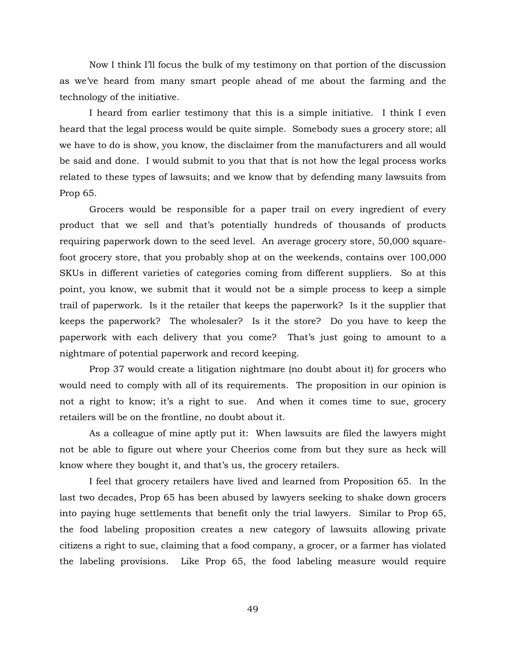Now I think I'll focus the bulk of my testimony on that portion of the discussion as we've heard from many smart people ahead of me about the farming and the technology of the initiative.

I heard from earlier testimony that this is a simple initiative. I think I even heard that the legal process would be quite simple. Somebody sues a grocery store; all we have to do is show, you know, the disclaimer from the manufacturers and all would be said and done. I would submit to you that that is not how the legal process works related to these types of lawsuits; and we know that by defending many lawsuits from Prop 65.

Grocers would be responsible for a paper trail on every ingredient of every product that we sell and that's potentially hundreds of thousands of products requiring paperwork down to the seed level. An average grocery store, 50,000 squarefoot grocery store, that you probably shop at on the weekends, contains over 100,000 SKUs in different varieties of categories coming from different suppliers. So at this point, you know, we submit that it would not be a simple process to keep a simple trail of paperwork. Is it the retailer that keeps the paperwork? Is it the supplier that keeps the paperwork? The wholesaler? Is it the store? Do you have to keep the paperwork with each delivery that you come? That's just going to amount to a nightmare of potential paperwork and record keeping.

Prop 37 would create a litigation nightmare (no doubt about it) for grocers who would need to comply with all of its requirements. The proposition in our opinion is not a right to know; it's a right to sue. And when it comes time to sue, grocery retailers will be on the frontline, no doubt about it.

As a colleague of mine aptly put it: When lawsuits are filed the lawyers might not be able to figure out where your Cheerios come from but they sure as heck will know where they bought it, and that's us, the grocery retailers.

I feel that grocery retailers have lived and learned from Proposition 65. In the last two decades, Prop 65 has been abused by lawyers seeking to shake down grocers into paying huge settlements that benefit only the trial lawyers. Similar to Prop 65, the food labeling proposition creates a new category of lawsuits allowing private citizens a right to sue, claiming that a food company, a grocer, or a farmer has violated the labeling provisions. Like Prop 65, the food labeling measure would require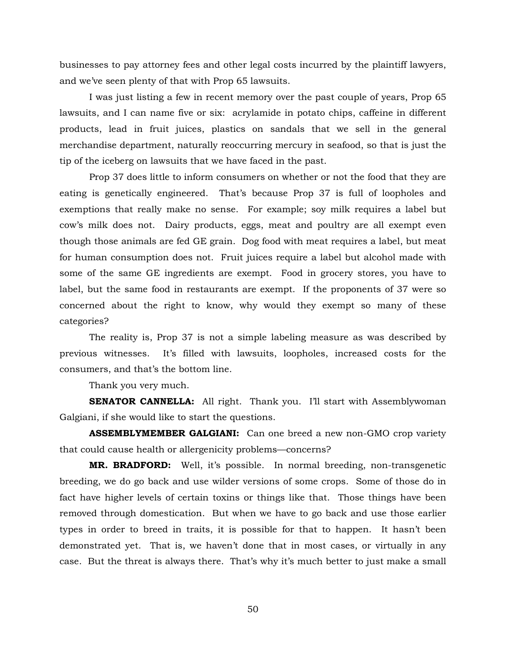businesses to pay attorney fees and other legal costs incurred by the plaintiff lawyers, and we've seen plenty of that with Prop 65 lawsuits.

I was just listing a few in recent memory over the past couple of years, Prop 65 lawsuits, and I can name five or six: acrylamide in potato chips, caffeine in different products, lead in fruit juices, plastics on sandals that we sell in the general merchandise department, naturally reoccurring mercury in seafood, so that is just the tip of the iceberg on lawsuits that we have faced in the past.

Prop 37 does little to inform consumers on whether or not the food that they are eating is genetically engineered. That's because Prop 37 is full of loopholes and exemptions that really make no sense. For example; soy milk requires a label but cow's milk does not. Dairy products, eggs, meat and poultry are all exempt even though those animals are fed GE grain. Dog food with meat requires a label, but meat for human consumption does not. Fruit juices require a label but alcohol made with some of the same GE ingredients are exempt. Food in grocery stores, you have to label, but the same food in restaurants are exempt. If the proponents of 37 were so concerned about the right to know, why would they exempt so many of these categories?

The reality is, Prop 37 is not a simple labeling measure as was described by previous witnesses. It's filled with lawsuits, loopholes, increased costs for the consumers, and that's the bottom line.

Thank you very much.

**SENATOR CANNELLA:** All right. Thank you. I'll start with Assemblywoman Galgiani, if she would like to start the questions.

**ASSEMBLYMEMBER GALGIANI:** Can one breed a new non-GMO crop variety that could cause health or allergenicity problems—concerns?

**MR. BRADFORD:** Well, it's possible. In normal breeding, non-transgenetic breeding, we do go back and use wilder versions of some crops. Some of those do in fact have higher levels of certain toxins or things like that. Those things have been removed through domestication. But when we have to go back and use those earlier types in order to breed in traits, it is possible for that to happen. It hasn't been demonstrated yet. That is, we haven't done that in most cases, or virtually in any case. But the threat is always there. That's why it's much better to just make a small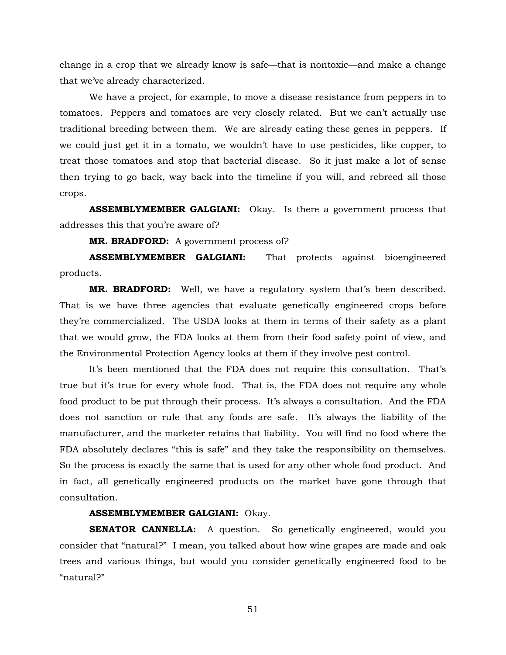change in a crop that we already know is safe—that is nontoxic—and make a change that we've already characterized.

We have a project, for example, to move a disease resistance from peppers in to tomatoes. Peppers and tomatoes are very closely related. But we can't actually use traditional breeding between them. We are already eating these genes in peppers. If we could just get it in a tomato, we wouldn't have to use pesticides, like copper, to treat those tomatoes and stop that bacterial disease. So it just make a lot of sense then trying to go back, way back into the timeline if you will, and rebreed all those crops.

**ASSEMBLYMEMBER GALGIANI:** Okay. Is there a government process that addresses this that you're aware of?

**MR. BRADFORD:** A government process of?

**ASSEMBLYMEMBER GALGIANI:** That protects against bioengineered products.

**MR. BRADFORD:** Well, we have a regulatory system that's been described. That is we have three agencies that evaluate genetically engineered crops before they're commercialized. The USDA looks at them in terms of their safety as a plant that we would grow, the FDA looks at them from their food safety point of view, and the Environmental Protection Agency looks at them if they involve pest control.

It's been mentioned that the FDA does not require this consultation. That's true but it's true for every whole food. That is, the FDA does not require any whole food product to be put through their process. It's always a consultation. And the FDA does not sanction or rule that any foods are safe. It's always the liability of the manufacturer, and the marketer retains that liability. You will find no food where the FDA absolutely declares "this is safe" and they take the responsibility on themselves. So the process is exactly the same that is used for any other whole food product. And in fact, all genetically engineered products on the market have gone through that consultation.

# **ASSEMBLYMEMBER GALGIANI:** Okay.

**SENATOR CANNELLA:** A question. So genetically engineered, would you consider that "natural?" I mean, you talked about how wine grapes are made and oak trees and various things, but would you consider genetically engineered food to be "natural?"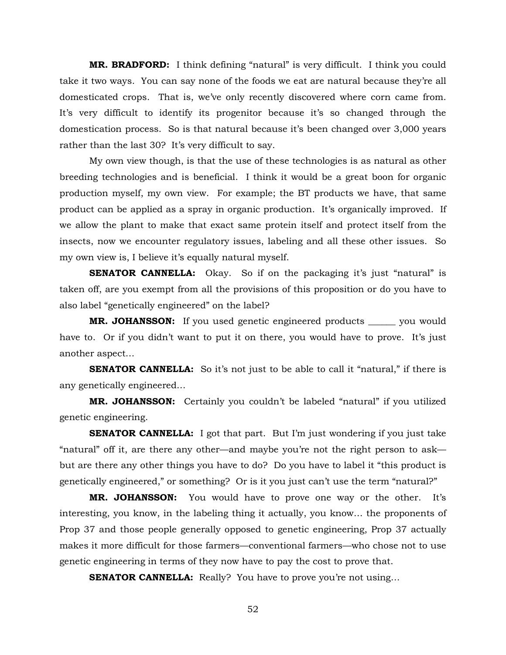**MR. BRADFORD:** I think defining "natural" is very difficult. I think you could take it two ways. You can say none of the foods we eat are natural because they're all domesticated crops. That is, we've only recently discovered where corn came from. It's very difficult to identify its progenitor because it's so changed through the domestication process. So is that natural because it's been changed over 3,000 years rather than the last 30? It's very difficult to say.

My own view though, is that the use of these technologies is as natural as other breeding technologies and is beneficial. I think it would be a great boon for organic production myself, my own view. For example; the BT products we have, that same product can be applied as a spray in organic production. It's organically improved. If we allow the plant to make that exact same protein itself and protect itself from the insects, now we encounter regulatory issues, labeling and all these other issues. So my own view is, I believe it's equally natural myself.

**SENATOR CANNELLA:** Okay. So if on the packaging it's just "natural" is taken off, are you exempt from all the provisions of this proposition or do you have to also label "genetically engineered" on the label?

**MR. JOHANSSON:** If you used genetic engineered products \_\_\_\_\_\_ you would have to. Or if you didn't want to put it on there, you would have to prove. It's just another aspect…

**SENATOR CANNELLA:** So it's not just to be able to call it "natural," if there is any genetically engineered…

**MR. JOHANSSON:** Certainly you couldn't be labeled "natural" if you utilized genetic engineering.

**SENATOR CANNELLA:** I got that part. But I'm just wondering if you just take "natural" off it, are there any other—and maybe you're not the right person to ask but are there any other things you have to do? Do you have to label it "this product is genetically engineered," or something? Or is it you just can't use the term "natural?"

**MR. JOHANSSON:** You would have to prove one way or the other. It's interesting, you know, in the labeling thing it actually, you know… the proponents of Prop 37 and those people generally opposed to genetic engineering, Prop 37 actually makes it more difficult for those farmers—conventional farmers—who chose not to use genetic engineering in terms of they now have to pay the cost to prove that.

**SENATOR CANNELLA:** Really? You have to prove you're not using...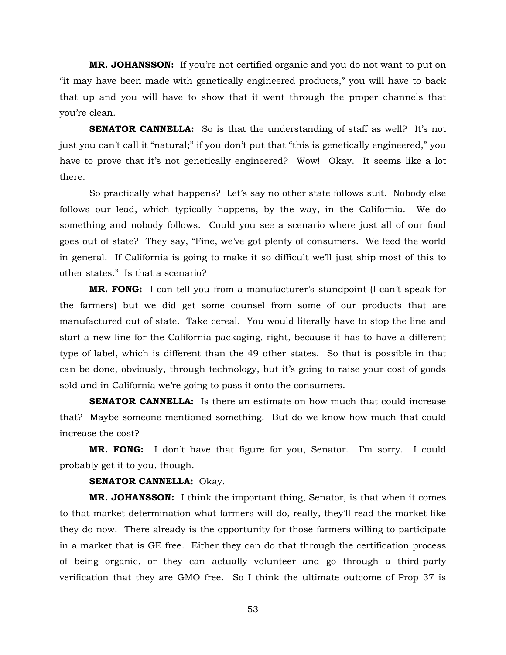**MR. JOHANSSON:** If you're not certified organic and you do not want to put on "it may have been made with genetically engineered products," you will have to back that up and you will have to show that it went through the proper channels that you're clean.

**SENATOR CANNELLA:** So is that the understanding of staff as well? It's not just you can't call it "natural;" if you don't put that "this is genetically engineered," you have to prove that it's not genetically engineered? Wow! Okay. It seems like a lot there.

So practically what happens? Let's say no other state follows suit. Nobody else follows our lead, which typically happens, by the way, in the California. We do something and nobody follows. Could you see a scenario where just all of our food goes out of state? They say, "Fine, we've got plenty of consumers. We feed the world in general. If California is going to make it so difficult we'll just ship most of this to other states." Is that a scenario?

**MR. FONG:** I can tell you from a manufacturer's standpoint (I can't speak for the farmers) but we did get some counsel from some of our products that are manufactured out of state. Take cereal. You would literally have to stop the line and start a new line for the California packaging, right, because it has to have a different type of label, which is different than the 49 other states. So that is possible in that can be done, obviously, through technology, but it's going to raise your cost of goods sold and in California we're going to pass it onto the consumers.

**SENATOR CANNELLA:** Is there an estimate on how much that could increase that? Maybe someone mentioned something. But do we know how much that could increase the cost?

**MR. FONG:** I don't have that figure for you, Senator. I'm sorry. I could probably get it to you, though.

## **SENATOR CANNELLA:** Okay.

**MR. JOHANSSON:** I think the important thing, Senator, is that when it comes to that market determination what farmers will do, really, they'll read the market like they do now. There already is the opportunity for those farmers willing to participate in a market that is GE free. Either they can do that through the certification process of being organic, or they can actually volunteer and go through a third-party verification that they are GMO free. So I think the ultimate outcome of Prop 37 is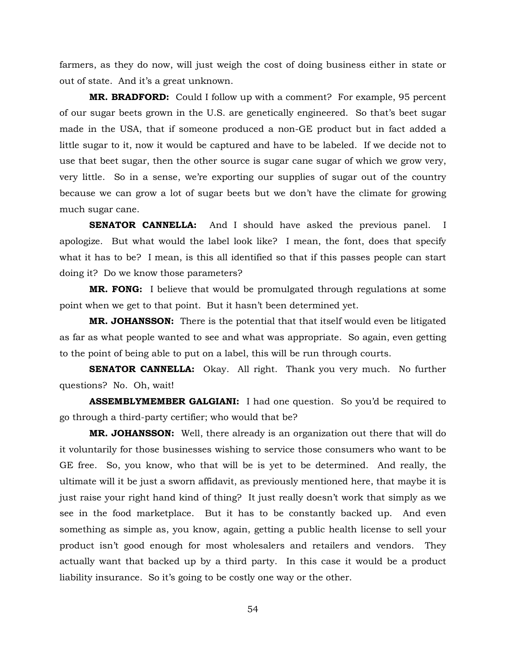farmers, as they do now, will just weigh the cost of doing business either in state or out of state. And it's a great unknown.

**MR. BRADFORD:** Could I follow up with a comment? For example, 95 percent of our sugar beets grown in the U.S. are genetically engineered. So that's beet sugar made in the USA, that if someone produced a non-GE product but in fact added a little sugar to it, now it would be captured and have to be labeled. If we decide not to use that beet sugar, then the other source is sugar cane sugar of which we grow very, very little. So in a sense, we're exporting our supplies of sugar out of the country because we can grow a lot of sugar beets but we don't have the climate for growing much sugar cane.

**SENATOR CANNELLA:** And I should have asked the previous panel. I apologize. But what would the label look like? I mean, the font, does that specify what it has to be? I mean, is this all identified so that if this passes people can start doing it? Do we know those parameters?

**MR. FONG:** I believe that would be promulgated through regulations at some point when we get to that point. But it hasn't been determined yet.

**MR. JOHANSSON:** There is the potential that that itself would even be litigated as far as what people wanted to see and what was appropriate. So again, even getting to the point of being able to put on a label, this will be run through courts.

**SENATOR CANNELLA:** Okay. All right. Thank you very much. No further questions? No. Oh, wait!

**ASSEMBLYMEMBER GALGIANI:** I had one question. So you'd be required to go through a third-party certifier; who would that be?

**MR. JOHANSSON:** Well, there already is an organization out there that will do it voluntarily for those businesses wishing to service those consumers who want to be GE free. So, you know, who that will be is yet to be determined. And really, the ultimate will it be just a sworn affidavit, as previously mentioned here, that maybe it is just raise your right hand kind of thing? It just really doesn't work that simply as we see in the food marketplace. But it has to be constantly backed up. And even something as simple as, you know, again, getting a public health license to sell your product isn't good enough for most wholesalers and retailers and vendors. They actually want that backed up by a third party. In this case it would be a product liability insurance. So it's going to be costly one way or the other.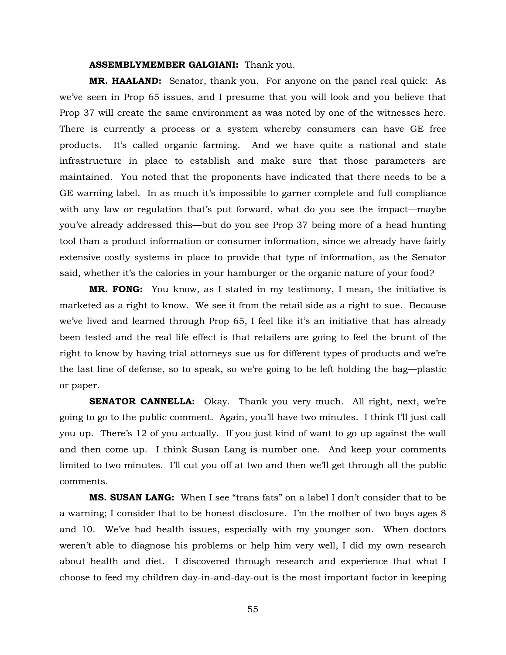#### **ASSEMBLYMEMBER GALGIANI:** Thank you.

**MR. HAALAND:** Senator, thank you. For anyone on the panel real quick: As we've seen in Prop 65 issues, and I presume that you will look and you believe that Prop 37 will create the same environment as was noted by one of the witnesses here. There is currently a process or a system whereby consumers can have GE free products. It's called organic farming. And we have quite a national and state infrastructure in place to establish and make sure that those parameters are maintained. You noted that the proponents have indicated that there needs to be a GE warning label. In as much it's impossible to garner complete and full compliance with any law or regulation that's put forward, what do you see the impact—maybe you've already addressed this—but do you see Prop 37 being more of a head hunting tool than a product information or consumer information, since we already have fairly extensive costly systems in place to provide that type of information, as the Senator said, whether it's the calories in your hamburger or the organic nature of your food?

**MR. FONG:** You know, as I stated in my testimony, I mean, the initiative is marketed as a right to know. We see it from the retail side as a right to sue. Because we've lived and learned through Prop 65, I feel like it's an initiative that has already been tested and the real life effect is that retailers are going to feel the brunt of the right to know by having trial attorneys sue us for different types of products and we're the last line of defense, so to speak, so we're going to be left holding the bag—plastic or paper.

**SENATOR CANNELLA:** Okay. Thank you very much. All right, next, we're going to go to the public comment. Again, you'll have two minutes. I think I'll just call you up. There's 12 of you actually. If you just kind of want to go up against the wall and then come up. I think Susan Lang is number one. And keep your comments limited to two minutes. I'll cut you off at two and then we'll get through all the public comments.

**MS. SUSAN LANG:** When I see "trans fats" on a label I don't consider that to be a warning; I consider that to be honest disclosure. I'm the mother of two boys ages 8 and 10. We've had health issues, especially with my younger son. When doctors weren't able to diagnose his problems or help him very well, I did my own research about health and diet. I discovered through research and experience that what I choose to feed my children day-in-and-day-out is the most important factor in keeping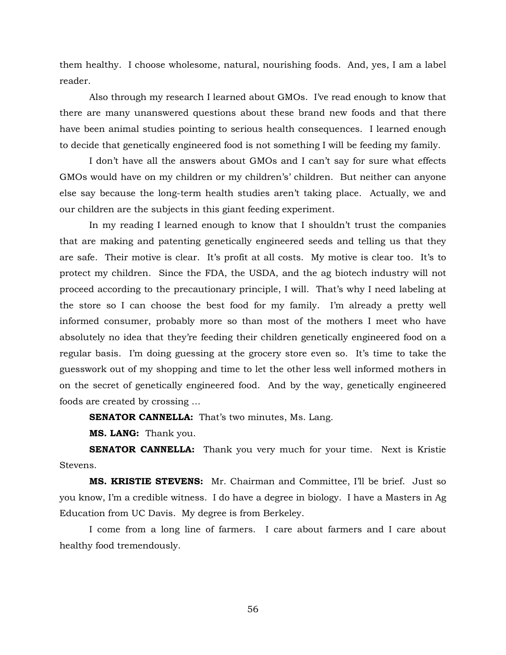them healthy. I choose wholesome, natural, nourishing foods. And, yes, I am a label reader.

Also through my research I learned about GMOs. I've read enough to know that there are many unanswered questions about these brand new foods and that there have been animal studies pointing to serious health consequences. I learned enough to decide that genetically engineered food is not something I will be feeding my family.

I don't have all the answers about GMOs and I can't say for sure what effects GMOs would have on my children or my children's' children. But neither can anyone else say because the long-term health studies aren't taking place. Actually, we and our children are the subjects in this giant feeding experiment.

In my reading I learned enough to know that I shouldn't trust the companies that are making and patenting genetically engineered seeds and telling us that they are safe. Their motive is clear. It's profit at all costs. My motive is clear too. It's to protect my children. Since the FDA, the USDA, and the ag biotech industry will not proceed according to the precautionary principle, I will. That's why I need labeling at the store so I can choose the best food for my family. I'm already a pretty well informed consumer, probably more so than most of the mothers I meet who have absolutely no idea that they're feeding their children genetically engineered food on a regular basis. I'm doing guessing at the grocery store even so. It's time to take the guesswork out of my shopping and time to let the other less well informed mothers in on the secret of genetically engineered food. And by the way, genetically engineered foods are created by crossing …

**SENATOR CANNELLA:** That's two minutes, Ms. Lang.

**MS. LANG:** Thank you.

**SENATOR CANNELLA:** Thank you very much for your time. Next is Kristie Stevens.

**MS. KRISTIE STEVENS:** Mr. Chairman and Committee, I'll be brief. Just so you know, I'm a credible witness. I do have a degree in biology. I have a Masters in Ag Education from UC Davis. My degree is from Berkeley.

I come from a long line of farmers. I care about farmers and I care about healthy food tremendously.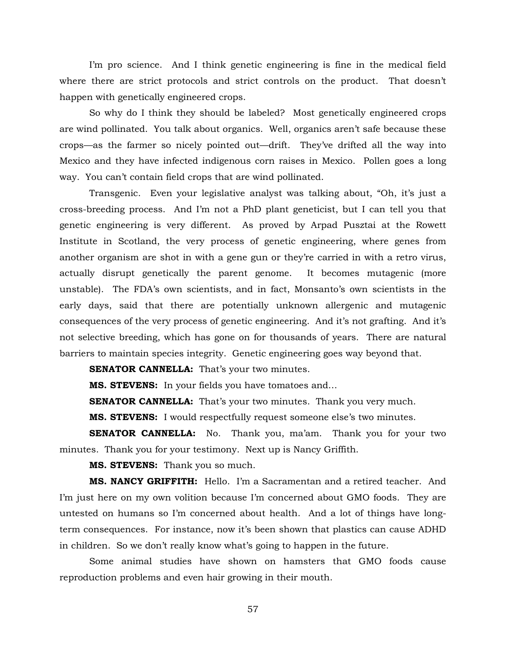I'm pro science. And I think genetic engineering is fine in the medical field where there are strict protocols and strict controls on the product. That doesn't happen with genetically engineered crops.

So why do I think they should be labeled? Most genetically engineered crops are wind pollinated. You talk about organics. Well, organics aren't safe because these crops—as the farmer so nicely pointed out—drift. They've drifted all the way into Mexico and they have infected indigenous corn raises in Mexico. Pollen goes a long way. You can't contain field crops that are wind pollinated.

Transgenic. Even your legislative analyst was talking about, "Oh, it's just a cross-breeding process. And I'm not a PhD plant geneticist, but I can tell you that genetic engineering is very different. As proved by Arpad Pusztai at the Rowett Institute in Scotland, the very process of genetic engineering, where genes from another organism are shot in with a gene gun or they're carried in with a retro virus, actually disrupt genetically the parent genome. It becomes mutagenic (more unstable). The FDA's own scientists, and in fact, Monsanto's own scientists in the early days, said that there are potentially unknown allergenic and mutagenic consequences of the very process of genetic engineering. And it's not grafting. And it's not selective breeding, which has gone on for thousands of years. There are natural barriers to maintain species integrity. Genetic engineering goes way beyond that.

**SENATOR CANNELLA:** That's your two minutes.

**MS. STEVENS:** In your fields you have tomatoes and…

**SENATOR CANNELLA:** That's your two minutes. Thank you very much.

**MS. STEVENS:** I would respectfully request someone else's two minutes.

**SENATOR CANNELLA:** No. Thank you, ma'am. Thank you for your two minutes. Thank you for your testimony. Next up is Nancy Griffith.

**MS. STEVENS:** Thank you so much.

**MS. NANCY GRIFFITH:** Hello. I'm a Sacramentan and a retired teacher. And I'm just here on my own volition because I'm concerned about GMO foods. They are untested on humans so I'm concerned about health. And a lot of things have longterm consequences. For instance, now it's been shown that plastics can cause ADHD in children. So we don't really know what's going to happen in the future.

Some animal studies have shown on hamsters that GMO foods cause reproduction problems and even hair growing in their mouth.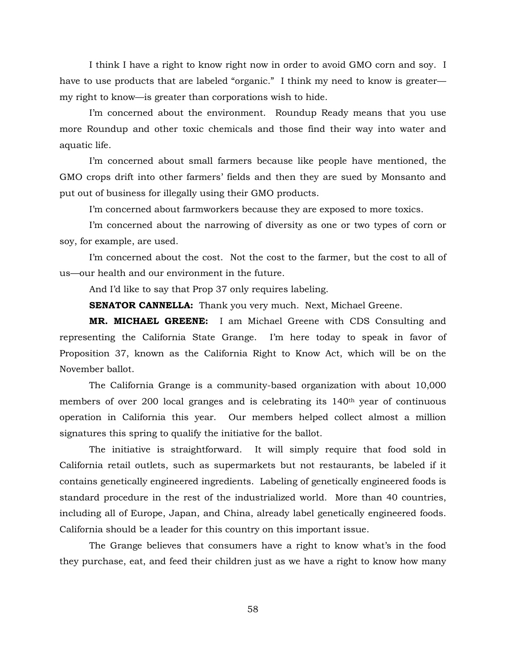I think I have a right to know right now in order to avoid GMO corn and soy. I have to use products that are labeled "organic." I think my need to know is greater my right to know—is greater than corporations wish to hide.

I'm concerned about the environment. Roundup Ready means that you use more Roundup and other toxic chemicals and those find their way into water and aquatic life.

I'm concerned about small farmers because like people have mentioned, the GMO crops drift into other farmers' fields and then they are sued by Monsanto and put out of business for illegally using their GMO products.

I'm concerned about farmworkers because they are exposed to more toxics.

I'm concerned about the narrowing of diversity as one or two types of corn or soy, for example, are used.

I'm concerned about the cost. Not the cost to the farmer, but the cost to all of us—our health and our environment in the future.

And I'd like to say that Prop 37 only requires labeling.

**SENATOR CANNELLA:** Thank you very much. Next, Michael Greene.

**MR. MICHAEL GREENE:** I am Michael Greene with CDS Consulting and representing the California State Grange. I'm here today to speak in favor of Proposition 37, known as the California Right to Know Act, which will be on the November ballot.

The California Grange is a community-based organization with about 10,000 members of over 200 local granges and is celebrating its 140th year of continuous operation in California this year. Our members helped collect almost a million signatures this spring to qualify the initiative for the ballot.

The initiative is straightforward. It will simply require that food sold in California retail outlets, such as supermarkets but not restaurants, be labeled if it contains genetically engineered ingredients. Labeling of genetically engineered foods is standard procedure in the rest of the industrialized world. More than 40 countries, including all of Europe, Japan, and China, already label genetically engineered foods. California should be a leader for this country on this important issue.

The Grange believes that consumers have a right to know what's in the food they purchase, eat, and feed their children just as we have a right to know how many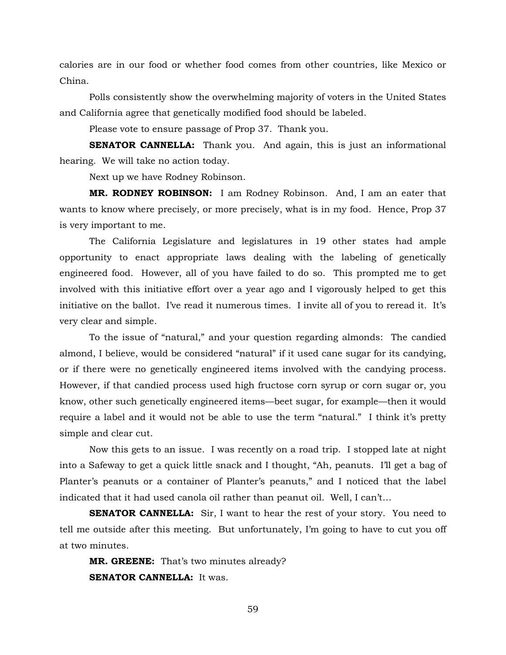calories are in our food or whether food comes from other countries, like Mexico or China.

Polls consistently show the overwhelming majority of voters in the United States and California agree that genetically modified food should be labeled.

Please vote to ensure passage of Prop 37. Thank you.

**SENATOR CANNELLA:** Thank you. And again, this is just an informational hearing. We will take no action today.

Next up we have Rodney Robinson.

**MR. RODNEY ROBINSON:** I am Rodney Robinson. And, I am an eater that wants to know where precisely, or more precisely, what is in my food. Hence, Prop 37 is very important to me.

The California Legislature and legislatures in 19 other states had ample opportunity to enact appropriate laws dealing with the labeling of genetically engineered food. However, all of you have failed to do so. This prompted me to get involved with this initiative effort over a year ago and I vigorously helped to get this initiative on the ballot. I've read it numerous times. I invite all of you to reread it. It's very clear and simple.

To the issue of "natural," and your question regarding almonds: The candied almond, I believe, would be considered "natural" if it used cane sugar for its candying, or if there were no genetically engineered items involved with the candying process. However, if that candied process used high fructose corn syrup or corn sugar or, you know, other such genetically engineered items—beet sugar, for example—then it would require a label and it would not be able to use the term "natural." I think it's pretty simple and clear cut.

Now this gets to an issue. I was recently on a road trip. I stopped late at night into a Safeway to get a quick little snack and I thought, "Ah, peanuts. I'll get a bag of Planter's peanuts or a container of Planter's peanuts," and I noticed that the label indicated that it had used canola oil rather than peanut oil. Well, I can't…

**SENATOR CANNELLA:** Sir, I want to hear the rest of your story. You need to tell me outside after this meeting. But unfortunately, I'm going to have to cut you off at two minutes.

**MR. GREENE:** That's two minutes already? **SENATOR CANNELLA:** It was.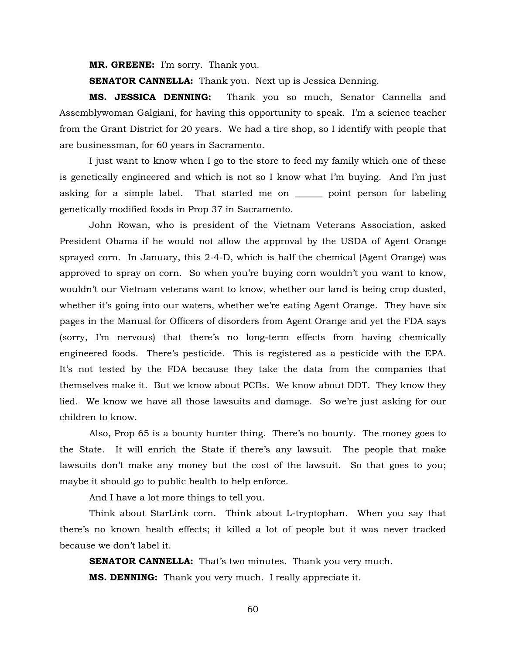**MR. GREENE:** I'm sorry. Thank you.

**SENATOR CANNELLA:** Thank you. Next up is Jessica Denning.

**MS. JESSICA DENNING:** Thank you so much, Senator Cannella and Assemblywoman Galgiani, for having this opportunity to speak. I'm a science teacher from the Grant District for 20 years. We had a tire shop, so I identify with people that are businessman, for 60 years in Sacramento.

I just want to know when I go to the store to feed my family which one of these is genetically engineered and which is not so I know what I'm buying. And I'm just asking for a simple label. That started me on \_\_\_\_\_\_ point person for labeling genetically modified foods in Prop 37 in Sacramento.

John Rowan, who is president of the Vietnam Veterans Association, asked President Obama if he would not allow the approval by the USDA of Agent Orange sprayed corn. In January, this 2-4-D, which is half the chemical (Agent Orange) was approved to spray on corn. So when you're buying corn wouldn't you want to know, wouldn't our Vietnam veterans want to know, whether our land is being crop dusted, whether it's going into our waters, whether we're eating Agent Orange. They have six pages in the Manual for Officers of disorders from Agent Orange and yet the FDA says (sorry, I'm nervous) that there's no long-term effects from having chemically engineered foods. There's pesticide. This is registered as a pesticide with the EPA. It's not tested by the FDA because they take the data from the companies that themselves make it. But we know about PCBs. We know about DDT. They know they lied. We know we have all those lawsuits and damage. So we're just asking for our children to know.

Also, Prop 65 is a bounty hunter thing. There's no bounty. The money goes to the State. It will enrich the State if there's any lawsuit. The people that make lawsuits don't make any money but the cost of the lawsuit. So that goes to you; maybe it should go to public health to help enforce.

And I have a lot more things to tell you.

Think about StarLink corn. Think about L-tryptophan. When you say that there's no known health effects; it killed a lot of people but it was never tracked because we don't label it.

**SENATOR CANNELLA:** That's two minutes. Thank you very much.

**MS. DENNING:** Thank you very much. I really appreciate it.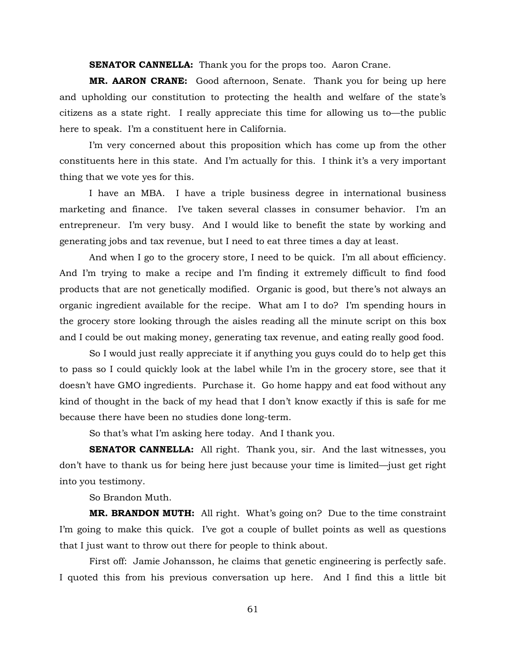**SENATOR CANNELLA:** Thank you for the props too. Aaron Crane.

**MR. AARON CRANE:** Good afternoon, Senate. Thank you for being up here and upholding our constitution to protecting the health and welfare of the state's citizens as a state right. I really appreciate this time for allowing us to—the public here to speak. I'm a constituent here in California.

I'm very concerned about this proposition which has come up from the other constituents here in this state. And I'm actually for this. I think it's a very important thing that we vote yes for this.

I have an MBA. I have a triple business degree in international business marketing and finance. I've taken several classes in consumer behavior. I'm an entrepreneur. I'm very busy. And I would like to benefit the state by working and generating jobs and tax revenue, but I need to eat three times a day at least.

And when I go to the grocery store, I need to be quick. I'm all about efficiency. And I'm trying to make a recipe and I'm finding it extremely difficult to find food products that are not genetically modified. Organic is good, but there's not always an organic ingredient available for the recipe. What am I to do? I'm spending hours in the grocery store looking through the aisles reading all the minute script on this box and I could be out making money, generating tax revenue, and eating really good food.

So I would just really appreciate it if anything you guys could do to help get this to pass so I could quickly look at the label while I'm in the grocery store, see that it doesn't have GMO ingredients. Purchase it. Go home happy and eat food without any kind of thought in the back of my head that I don't know exactly if this is safe for me because there have been no studies done long-term.

So that's what I'm asking here today. And I thank you.

**SENATOR CANNELLA:** All right. Thank you, sir. And the last witnesses, you don't have to thank us for being here just because your time is limited—just get right into you testimony.

So Brandon Muth.

**MR. BRANDON MUTH:** All right. What's going on? Due to the time constraint I'm going to make this quick. I've got a couple of bullet points as well as questions that I just want to throw out there for people to think about.

First off: Jamie Johansson, he claims that genetic engineering is perfectly safe. I quoted this from his previous conversation up here. And I find this a little bit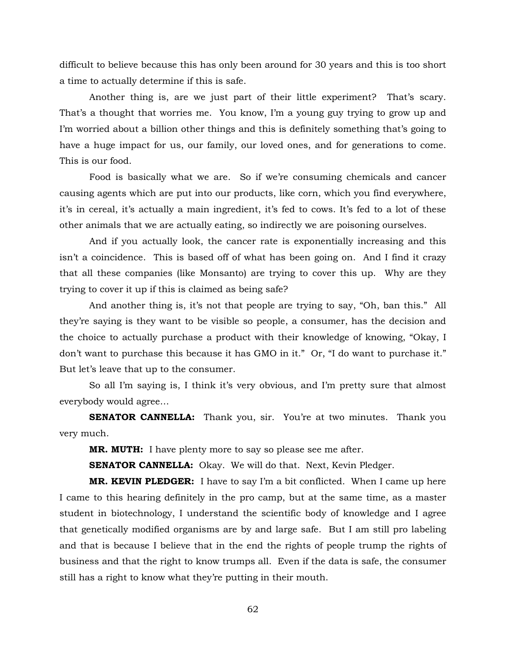difficult to believe because this has only been around for 30 years and this is too short a time to actually determine if this is safe.

Another thing is, are we just part of their little experiment? That's scary. That's a thought that worries me. You know, I'm a young guy trying to grow up and I'm worried about a billion other things and this is definitely something that's going to have a huge impact for us, our family, our loved ones, and for generations to come. This is our food.

Food is basically what we are. So if we're consuming chemicals and cancer causing agents which are put into our products, like corn, which you find everywhere, it's in cereal, it's actually a main ingredient, it's fed to cows. It's fed to a lot of these other animals that we are actually eating, so indirectly we are poisoning ourselves.

And if you actually look, the cancer rate is exponentially increasing and this isn't a coincidence. This is based off of what has been going on. And I find it crazy that all these companies (like Monsanto) are trying to cover this up. Why are they trying to cover it up if this is claimed as being safe?

And another thing is, it's not that people are trying to say, "Oh, ban this." All they're saying is they want to be visible so people, a consumer, has the decision and the choice to actually purchase a product with their knowledge of knowing, "Okay, I don't want to purchase this because it has GMO in it." Or, "I do want to purchase it." But let's leave that up to the consumer.

So all I'm saying is, I think it's very obvious, and I'm pretty sure that almost everybody would agree…

**SENATOR CANNELLA:** Thank you, sir. You're at two minutes. Thank you very much.

**MR. MUTH:** I have plenty more to say so please see me after.

**SENATOR CANNELLA:** Okay. We will do that. Next, Kevin Pledger.

**MR. KEVIN PLEDGER:** I have to say I'm a bit conflicted. When I came up here I came to this hearing definitely in the pro camp, but at the same time, as a master student in biotechnology, I understand the scientific body of knowledge and I agree that genetically modified organisms are by and large safe. But I am still pro labeling and that is because I believe that in the end the rights of people trump the rights of business and that the right to know trumps all. Even if the data is safe, the consumer still has a right to know what they're putting in their mouth.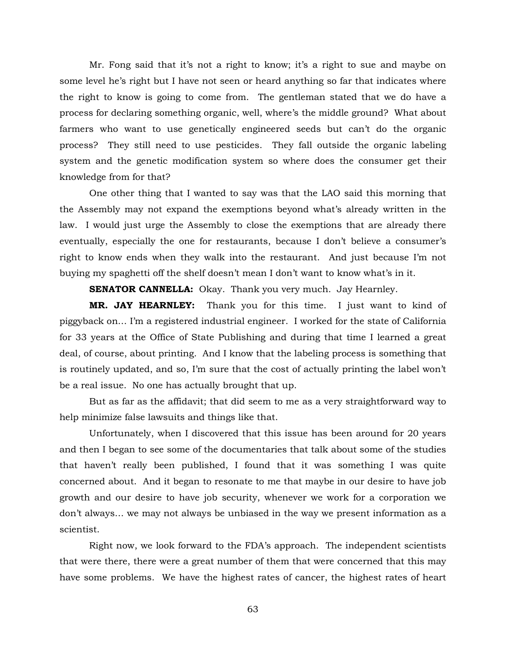Mr. Fong said that it's not a right to know; it's a right to sue and maybe on some level he's right but I have not seen or heard anything so far that indicates where the right to know is going to come from. The gentleman stated that we do have a process for declaring something organic, well, where's the middle ground? What about farmers who want to use genetically engineered seeds but can't do the organic process? They still need to use pesticides. They fall outside the organic labeling system and the genetic modification system so where does the consumer get their knowledge from for that?

One other thing that I wanted to say was that the LAO said this morning that the Assembly may not expand the exemptions beyond what's already written in the law. I would just urge the Assembly to close the exemptions that are already there eventually, especially the one for restaurants, because I don't believe a consumer's right to know ends when they walk into the restaurant. And just because I'm not buying my spaghetti off the shelf doesn't mean I don't want to know what's in it.

**SENATOR CANNELLA:** Okay. Thank you very much. Jay Hearnley.

**MR. JAY HEARNLEY:** Thank you for this time. I just want to kind of piggyback on… I'm a registered industrial engineer. I worked for the state of California for 33 years at the Office of State Publishing and during that time I learned a great deal, of course, about printing. And I know that the labeling process is something that is routinely updated, and so, I'm sure that the cost of actually printing the label won't be a real issue. No one has actually brought that up.

But as far as the affidavit; that did seem to me as a very straightforward way to help minimize false lawsuits and things like that.

Unfortunately, when I discovered that this issue has been around for 20 years and then I began to see some of the documentaries that talk about some of the studies that haven't really been published, I found that it was something I was quite concerned about. And it began to resonate to me that maybe in our desire to have job growth and our desire to have job security, whenever we work for a corporation we don't always… we may not always be unbiased in the way we present information as a scientist.

Right now, we look forward to the FDA's approach. The independent scientists that were there, there were a great number of them that were concerned that this may have some problems. We have the highest rates of cancer, the highest rates of heart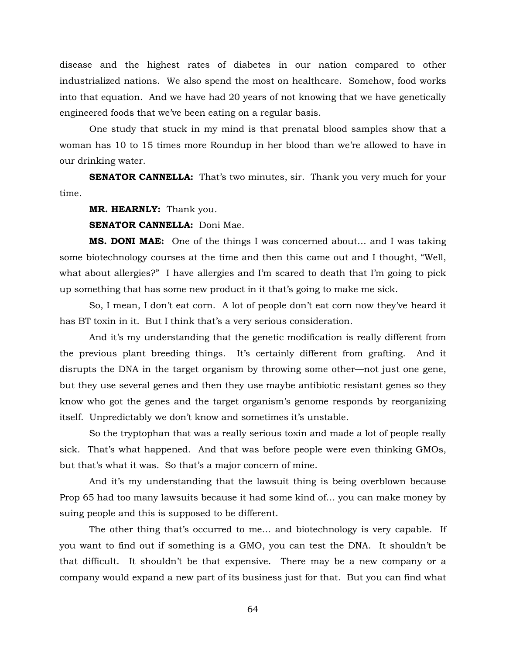disease and the highest rates of diabetes in our nation compared to other industrialized nations. We also spend the most on healthcare. Somehow, food works into that equation. And we have had 20 years of not knowing that we have genetically engineered foods that we've been eating on a regular basis.

One study that stuck in my mind is that prenatal blood samples show that a woman has 10 to 15 times more Roundup in her blood than we're allowed to have in our drinking water.

**SENATOR CANNELLA:** That's two minutes, sir. Thank you very much for your time.

**MR. HEARNLY:** Thank you.

**SENATOR CANNELLA:** Doni Mae.

**MS. DONI MAE:** One of the things I was concerned about… and I was taking some biotechnology courses at the time and then this came out and I thought, "Well, what about allergies?" I have allergies and I'm scared to death that I'm going to pick up something that has some new product in it that's going to make me sick.

So, I mean, I don't eat corn. A lot of people don't eat corn now they've heard it has BT toxin in it. But I think that's a very serious consideration.

And it's my understanding that the genetic modification is really different from the previous plant breeding things. It's certainly different from grafting. And it disrupts the DNA in the target organism by throwing some other—not just one gene, but they use several genes and then they use maybe antibiotic resistant genes so they know who got the genes and the target organism's genome responds by reorganizing itself. Unpredictably we don't know and sometimes it's unstable.

So the tryptophan that was a really serious toxin and made a lot of people really sick. That's what happened. And that was before people were even thinking GMOs, but that's what it was. So that's a major concern of mine.

And it's my understanding that the lawsuit thing is being overblown because Prop 65 had too many lawsuits because it had some kind of… you can make money by suing people and this is supposed to be different.

The other thing that's occurred to me… and biotechnology is very capable. If you want to find out if something is a GMO, you can test the DNA. It shouldn't be that difficult. It shouldn't be that expensive. There may be a new company or a company would expand a new part of its business just for that. But you can find what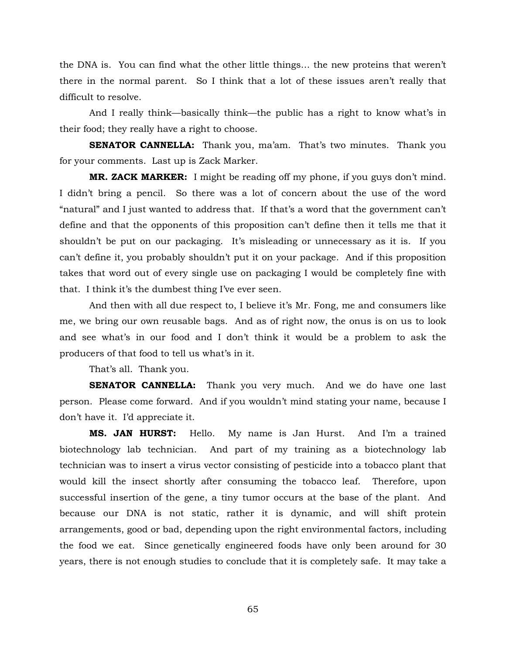the DNA is. You can find what the other little things… the new proteins that weren't there in the normal parent. So I think that a lot of these issues aren't really that difficult to resolve.

And I really think—basically think—the public has a right to know what's in their food; they really have a right to choose.

**SENATOR CANNELLA:** Thank you, ma'am. That's two minutes. Thank you for your comments. Last up is Zack Marker.

**MR. ZACK MARKER:** I might be reading off my phone, if you guys don't mind. I didn't bring a pencil. So there was a lot of concern about the use of the word "natural" and I just wanted to address that. If that's a word that the government can't define and that the opponents of this proposition can't define then it tells me that it shouldn't be put on our packaging. It's misleading or unnecessary as it is. If you can't define it, you probably shouldn't put it on your package. And if this proposition takes that word out of every single use on packaging I would be completely fine with that. I think it's the dumbest thing I've ever seen.

And then with all due respect to, I believe it's Mr. Fong, me and consumers like me, we bring our own reusable bags. And as of right now, the onus is on us to look and see what's in our food and I don't think it would be a problem to ask the producers of that food to tell us what's in it.

That's all. Thank you.

**SENATOR CANNELLA:** Thank you very much. And we do have one last person. Please come forward. And if you wouldn't mind stating your name, because I don't have it. I'd appreciate it.

**MS. JAN HURST:** Hello. My name is Jan Hurst. And I'm a trained biotechnology lab technician. And part of my training as a biotechnology lab technician was to insert a virus vector consisting of pesticide into a tobacco plant that would kill the insect shortly after consuming the tobacco leaf. Therefore, upon successful insertion of the gene, a tiny tumor occurs at the base of the plant. And because our DNA is not static, rather it is dynamic, and will shift protein arrangements, good or bad, depending upon the right environmental factors, including the food we eat. Since genetically engineered foods have only been around for 30 years, there is not enough studies to conclude that it is completely safe. It may take a